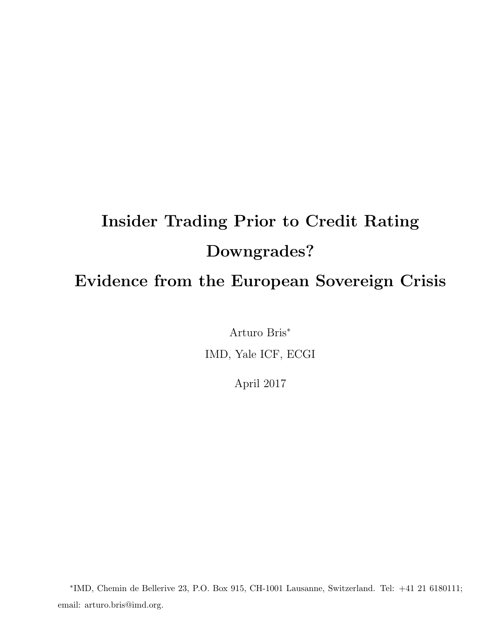# Insider Trading Prior to Credit Rating Downgrades? Evidence from the European Sovereign Crisis

Arturo Bris<sup>∗</sup> IMD, Yale ICF, ECGI

April 2017

∗ IMD, Chemin de Bellerive 23, P.O. Box 915, CH-1001 Lausanne, Switzerland. Tel: +41 21 6180111; email: arturo.bris@imd.org.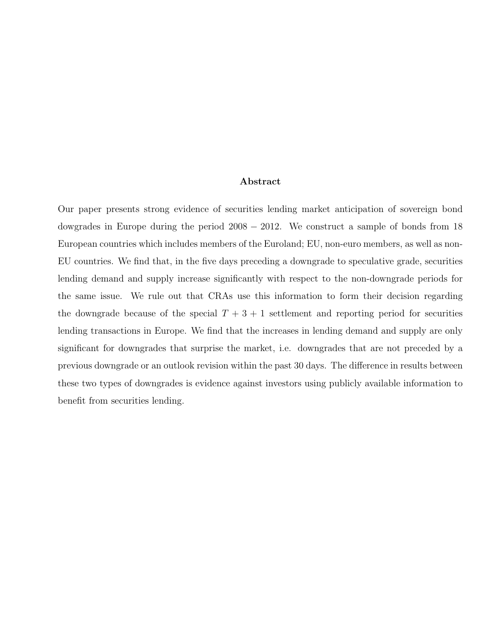#### Abstract

Our paper presents strong evidence of securities lending market anticipation of sovereign bond dowgrades in Europe during the period 2008 − 2012. We construct a sample of bonds from 18 European countries which includes members of the Euroland; EU, non-euro members, as well as non-EU countries. We find that, in the five days preceding a downgrade to speculative grade, securities lending demand and supply increase significantly with respect to the non-downgrade periods for the same issue. We rule out that CRAs use this information to form their decision regarding the downgrade because of the special  $T + 3 + 1$  settlement and reporting period for securities lending transactions in Europe. We find that the increases in lending demand and supply are only significant for downgrades that surprise the market, i.e. downgrades that are not preceded by a previous downgrade or an outlook revision within the past 30 days. The difference in results between these two types of downgrades is evidence against investors using publicly available information to benefit from securities lending.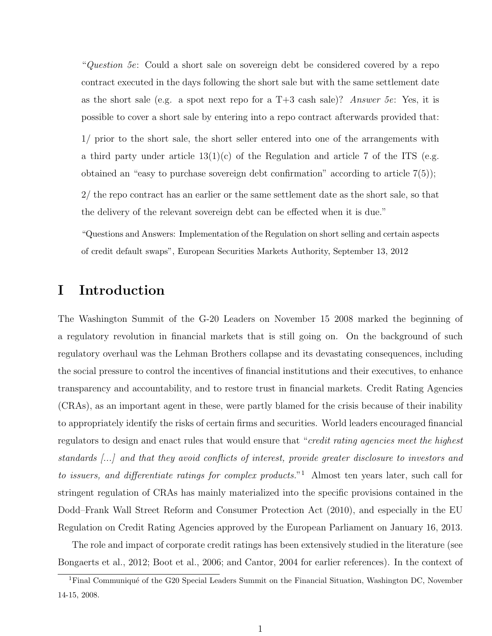"Question 5e: Could a short sale on sovereign debt be considered covered by a repo contract executed in the days following the short sale but with the same settlement date as the short sale (e.g. a spot next repo for a  $T+3$  cash sale)? Answer 5e: Yes, it is possible to cover a short sale by entering into a repo contract afterwards provided that: 1/ prior to the short sale, the short seller entered into one of the arrangements with a third party under article  $13(1)(c)$  of the Regulation and article 7 of the ITS (e.g. obtained an "easy to purchase sovereign debt confirmation" according to article 7(5));

2/ the repo contract has an earlier or the same settlement date as the short sale, so that the delivery of the relevant sovereign debt can be effected when it is due."

"Questions and Answers: Implementation of the Regulation on short selling and certain aspects of credit default swaps", European Securities Markets Authority, September 13, 2012

# I Introduction

The Washington Summit of the G-20 Leaders on November 15 2008 marked the beginning of a regulatory revolution in financial markets that is still going on. On the background of such regulatory overhaul was the Lehman Brothers collapse and its devastating consequences, including the social pressure to control the incentives of financial institutions and their executives, to enhance transparency and accountability, and to restore trust in financial markets. Credit Rating Agencies (CRAs), as an important agent in these, were partly blamed for the crisis because of their inability to appropriately identify the risks of certain firms and securities. World leaders encouraged financial regulators to design and enact rules that would ensure that "credit rating agencies meet the highest standards [...] and that they avoid conflicts of interest, provide greater disclosure to investors and to issuers, and differentiate ratings for complex products."<sup>1</sup> Almost ten years later, such call for stringent regulation of CRAs has mainly materialized into the specific provisions contained in the Dodd–Frank Wall Street Reform and Consumer Protection Act (2010), and especially in the EU Regulation on Credit Rating Agencies approved by the European Parliament on January 16, 2013.

The role and impact of corporate credit ratings has been extensively studied in the literature (see Bongaerts et al., 2012; Boot et al., 2006; and Cantor, 2004 for earlier references). In the context of

<sup>&</sup>lt;sup>1</sup>Final Communiqué of the G20 Special Leaders Summit on the Financial Situation, Washington DC, November 14-15, 2008.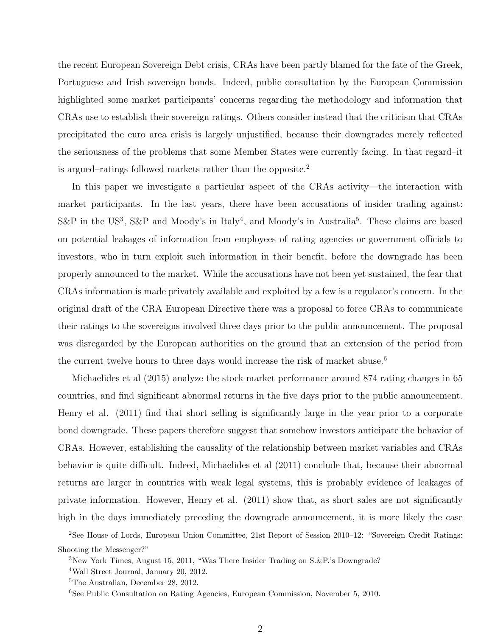the recent European Sovereign Debt crisis, CRAs have been partly blamed for the fate of the Greek, Portuguese and Irish sovereign bonds. Indeed, public consultation by the European Commission highlighted some market participants' concerns regarding the methodology and information that CRAs use to establish their sovereign ratings. Others consider instead that the criticism that CRAs precipitated the euro area crisis is largely unjustified, because their downgrades merely reflected the seriousness of the problems that some Member States were currently facing. In that regard–it is argued–ratings followed markets rather than the opposite.<sup>2</sup>

In this paper we investigate a particular aspect of the CRAs activity—the interaction with market participants. In the last years, there have been accusations of insider trading against: S&P in the US<sup>3</sup>, S&P and Moody's in Italy<sup>4</sup>, and Moody's in Australia<sup>5</sup>. These claims are based on potential leakages of information from employees of rating agencies or government officials to investors, who in turn exploit such information in their benefit, before the downgrade has been properly announced to the market. While the accusations have not been yet sustained, the fear that CRAs information is made privately available and exploited by a few is a regulator's concern. In the original draft of the CRA European Directive there was a proposal to force CRAs to communicate their ratings to the sovereigns involved three days prior to the public announcement. The proposal was disregarded by the European authorities on the ground that an extension of the period from the current twelve hours to three days would increase the risk of market abuse.<sup>6</sup>

Michaelides et al (2015) analyze the stock market performance around 874 rating changes in 65 countries, and find significant abnormal returns in the five days prior to the public announcement. Henry et al. (2011) find that short selling is significantly large in the year prior to a corporate bond downgrade. These papers therefore suggest that somehow investors anticipate the behavior of CRAs. However, establishing the causality of the relationship between market variables and CRAs behavior is quite difficult. Indeed, Michaelides et al (2011) conclude that, because their abnormal returns are larger in countries with weak legal systems, this is probably evidence of leakages of private information. However, Henry et al. (2011) show that, as short sales are not significantly high in the days immediately preceding the downgrade announcement, it is more likely the case

<sup>2</sup>See House of Lords, European Union Committee, 21st Report of Session 2010–12: "Sovereign Credit Ratings: Shooting the Messenger?"

<sup>3</sup>New York Times, August 15, 2011, "Was There Insider Trading on S.&P.'s Downgrade?

<sup>4</sup>Wall Street Journal, January 20, 2012.

<sup>5</sup>The Australian, December 28, 2012.

<sup>6</sup>See Public Consultation on Rating Agencies, European Commission, November 5, 2010.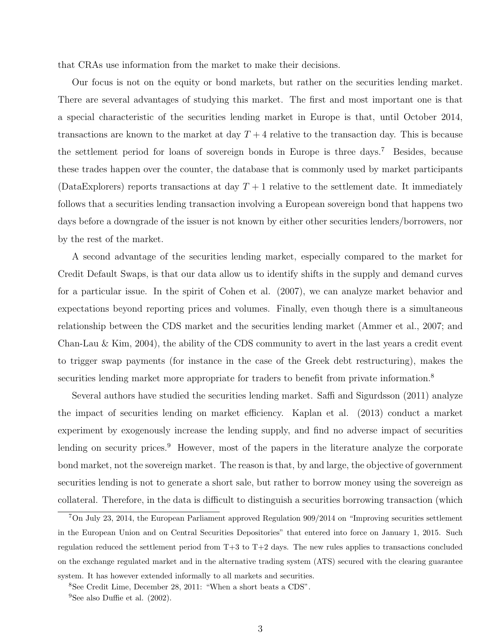that CRAs use information from the market to make their decisions.

Our focus is not on the equity or bond markets, but rather on the securities lending market. There are several advantages of studying this market. The first and most important one is that a special characteristic of the securities lending market in Europe is that, until October 2014, transactions are known to the market at day  $T+4$  relative to the transaction day. This is because the settlement period for loans of sovereign bonds in Europe is three days.<sup>7</sup> Besides, because these trades happen over the counter, the database that is commonly used by market participants (DataExplorers) reports transactions at day  $T + 1$  relative to the settlement date. It immediately follows that a securities lending transaction involving a European sovereign bond that happens two days before a downgrade of the issuer is not known by either other securities lenders/borrowers, nor by the rest of the market.

A second advantage of the securities lending market, especially compared to the market for Credit Default Swaps, is that our data allow us to identify shifts in the supply and demand curves for a particular issue. In the spirit of Cohen et al. (2007), we can analyze market behavior and expectations beyond reporting prices and volumes. Finally, even though there is a simultaneous relationship between the CDS market and the securities lending market (Ammer et al., 2007; and Chan-Lau & Kim, 2004), the ability of the CDS community to avert in the last years a credit event to trigger swap payments (for instance in the case of the Greek debt restructuring), makes the securities lending market more appropriate for traders to benefit from private information.<sup>8</sup>

Several authors have studied the securities lending market. Saffi and Sigurdsson (2011) analyze the impact of securities lending on market efficiency. Kaplan et al. (2013) conduct a market experiment by exogenously increase the lending supply, and find no adverse impact of securities lending on security prices.<sup>9</sup> However, most of the papers in the literature analyze the corporate bond market, not the sovereign market. The reason is that, by and large, the objective of government securities lending is not to generate a short sale, but rather to borrow money using the sovereign as collateral. Therefore, in the data is difficult to distinguish a securities borrowing transaction (which

<sup>7</sup>On July 23, 2014, the European Parliament approved Regulation 909/2014 on "Improving securities settlement in the European Union and on Central Securities Depositories" that entered into force on January 1, 2015. Such regulation reduced the settlement period from T+3 to T+2 days. The new rules applies to transactions concluded on the exchange regulated market and in the alternative trading system (ATS) secured with the clearing guarantee system. It has however extended informally to all markets and securities.

<sup>8</sup>See Credit Lime, December 28, 2011: "When a short beats a CDS".

<sup>&</sup>lt;sup>9</sup>See also Duffie et al.  $(2002)$ .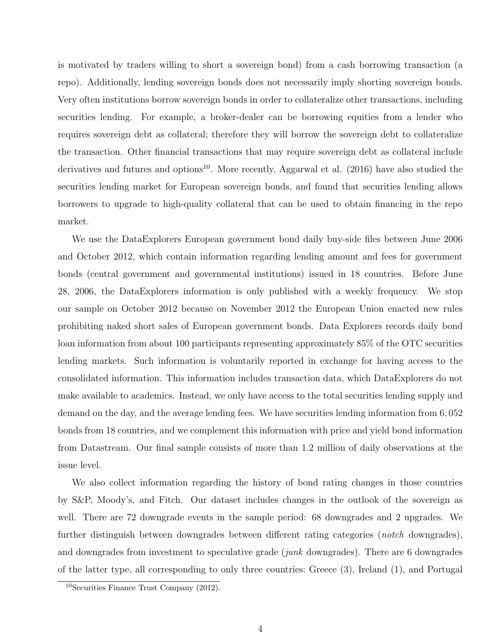is motivated by traders willing to short a sovereign bond) from a cash borrowing transaction (a repo). Additionally, lending sovereign bonds does not necessarily imply shorting sovereign bonds. Very often institutions borrow sovereign bonds in order to collateralize other transactions, including securities lending. For example, a broker-dealer can be borrowing equities from a lender who requires sovereign debt as collateral; therefore they will borrow the sovereign debt to collateralize the transaction. Other financial transactions that may require sovereign debt as collateral include derivatives and futures and options<sup>10</sup>. More recently, Aggarwal et al.  $(2016)$  have also studied the securities lending market for European sovereign bonds, and found that securities lending allows borrowers to upgrade to high-quality collateral that can be used to obtain financing in the repo market.

We use the DataExplorers European government bond daily buy-side files between June 2006 and October 2012, which contain information regarding lending amount and fees for government bonds (central government and governmental institutions) issued in 18 countries. Before June 28, 2006, the DataExplorers information is only published with a weekly frequency. We stop our sample on October 2012 because on November 2012 the European Union enacted new rules prohibiting naked short sales of European government bonds. Data Explorers records daily bond loan information from about 100 participants representing approximately 85% of the OTC securities lending markets. Such information is voluntarily reported in exchange for having access to the consolidated information. This information includes transaction data, which DataExplorers do not make available to academics. Instead, we only have access to the total securities lending supply and demand on the day, and the average lending fees. We have securities lending information from 6, 052 bonds from 18 countries, and we complement this information with price and yield bond information from Datastream. Our final sample consists of more than 1.2 million of daily observations at the issue level.

We also collect information regarding the history of bond rating changes in those countries by S&P, Moody's, and Fitch. Our dataset includes changes in the outlook of the sovereign as well. There are 72 downgrade events in the sample period: 68 downgrades and 2 upgrades. We further distinguish between downgrades between different rating categories (*notch* downgrades), and downgrades from investment to speculative grade  $(junk$  downgrades). There are 6 downgrades of the latter type, all corresponding to only three countries: Greece (3), Ireland (1), and Portugal

<sup>10</sup>Securities Finance Trust Company (2012).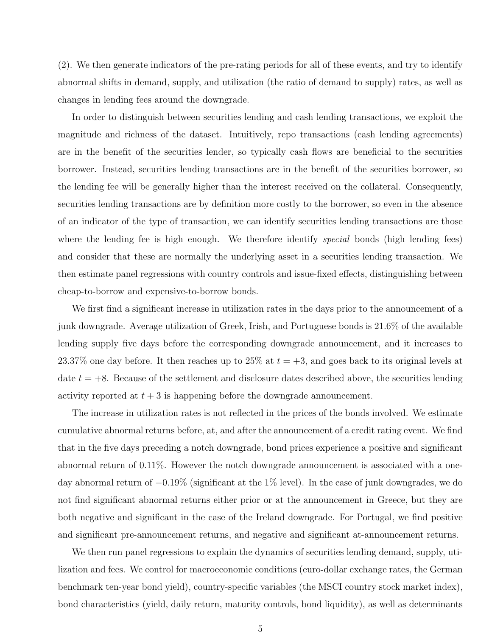(2). We then generate indicators of the pre-rating periods for all of these events, and try to identify abnormal shifts in demand, supply, and utilization (the ratio of demand to supply) rates, as well as changes in lending fees around the downgrade.

In order to distinguish between securities lending and cash lending transactions, we exploit the magnitude and richness of the dataset. Intuitively, repo transactions (cash lending agreements) are in the benefit of the securities lender, so typically cash flows are beneficial to the securities borrower. Instead, securities lending transactions are in the benefit of the securities borrower, so the lending fee will be generally higher than the interest received on the collateral. Consequently, securities lending transactions are by definition more costly to the borrower, so even in the absence of an indicator of the type of transaction, we can identify securities lending transactions are those where the lending fee is high enough. We therefore identify *special* bonds (high lending fees) and consider that these are normally the underlying asset in a securities lending transaction. We then estimate panel regressions with country controls and issue-fixed effects, distinguishing between cheap-to-borrow and expensive-to-borrow bonds.

We first find a significant increase in utilization rates in the days prior to the announcement of a junk downgrade. Average utilization of Greek, Irish, and Portuguese bonds is 21.6% of the available lending supply five days before the corresponding downgrade announcement, and it increases to 23.37% one day before. It then reaches up to 25% at  $t = +3$ , and goes back to its original levels at date  $t = +8$ . Because of the settlement and disclosure dates described above, the securities lending activity reported at  $t + 3$  is happening before the downgrade announcement.

The increase in utilization rates is not reflected in the prices of the bonds involved. We estimate cumulative abnormal returns before, at, and after the announcement of a credit rating event. We find that in the five days preceding a notch downgrade, bond prices experience a positive and significant abnormal return of 0.11%. However the notch downgrade announcement is associated with a oneday abnormal return of −0.19% (significant at the 1% level). In the case of junk downgrades, we do not find significant abnormal returns either prior or at the announcement in Greece, but they are both negative and significant in the case of the Ireland downgrade. For Portugal, we find positive and significant pre-announcement returns, and negative and significant at-announcement returns.

We then run panel regressions to explain the dynamics of securities lending demand, supply, utilization and fees. We control for macroeconomic conditions (euro-dollar exchange rates, the German benchmark ten-year bond yield), country-specific variables (the MSCI country stock market index), bond characteristics (yield, daily return, maturity controls, bond liquidity), as well as determinants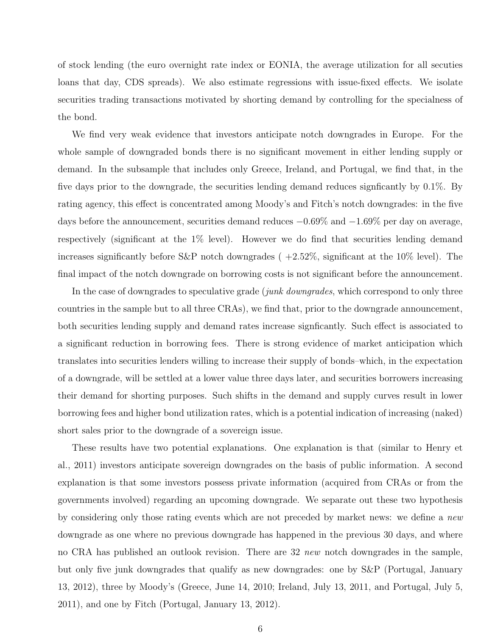of stock lending (the euro overnight rate index or EONIA, the average utilization for all secuties loans that day, CDS spreads). We also estimate regressions with issue-fixed effects. We isolate securities trading transactions motivated by shorting demand by controlling for the specialness of the bond.

We find very weak evidence that investors anticipate notch downgrades in Europe. For the whole sample of downgraded bonds there is no significant movement in either lending supply or demand. In the subsample that includes only Greece, Ireland, and Portugal, we find that, in the five days prior to the downgrade, the securities lending demand reduces signficantly by 0.1%. By rating agency, this effect is concentrated among Moody's and Fitch's notch downgrades: in the five days before the announcement, securities demand reduces −0.69% and −1.69% per day on average, respectively (significant at the 1% level). However we do find that securities lending demand increases significantly before S&P notch downgrades  $(+2.52\%$ , significant at the 10% level). The final impact of the notch downgrade on borrowing costs is not significant before the announcement.

In the case of downgrades to speculative grade (*junk downgrades*, which correspond to only three countries in the sample but to all three CRAs), we find that, prior to the downgrade announcement, both securities lending supply and demand rates increase signficantly. Such effect is associated to a significant reduction in borrowing fees. There is strong evidence of market anticipation which translates into securities lenders willing to increase their supply of bonds–which, in the expectation of a downgrade, will be settled at a lower value three days later, and securities borrowers increasing their demand for shorting purposes. Such shifts in the demand and supply curves result in lower borrowing fees and higher bond utilization rates, which is a potential indication of increasing (naked) short sales prior to the downgrade of a sovereign issue.

These results have two potential explanations. One explanation is that (similar to Henry et al., 2011) investors anticipate sovereign downgrades on the basis of public information. A second explanation is that some investors possess private information (acquired from CRAs or from the governments involved) regarding an upcoming downgrade. We separate out these two hypothesis by considering only those rating events which are not preceded by market news: we define a *new* downgrade as one where no previous downgrade has happened in the previous 30 days, and where no CRA has published an outlook revision. There are 32 new notch downgrades in the sample, but only five junk downgrades that qualify as new downgrades: one by S&P (Portugal, January 13, 2012), three by Moody's (Greece, June 14, 2010; Ireland, July 13, 2011, and Portugal, July 5, 2011), and one by Fitch (Portugal, January 13, 2012).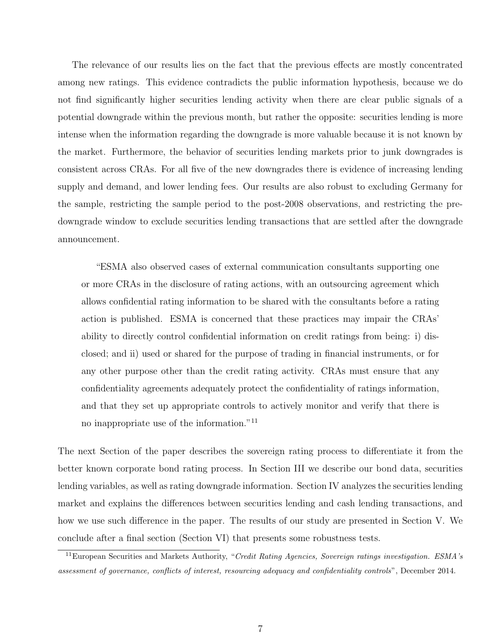The relevance of our results lies on the fact that the previous effects are mostly concentrated among new ratings. This evidence contradicts the public information hypothesis, because we do not find significantly higher securities lending activity when there are clear public signals of a potential downgrade within the previous month, but rather the opposite: securities lending is more intense when the information regarding the downgrade is more valuable because it is not known by the market. Furthermore, the behavior of securities lending markets prior to junk downgrades is consistent across CRAs. For all five of the new downgrades there is evidence of increasing lending supply and demand, and lower lending fees. Our results are also robust to excluding Germany for the sample, restricting the sample period to the post-2008 observations, and restricting the predowngrade window to exclude securities lending transactions that are settled after the downgrade announcement.

"ESMA also observed cases of external communication consultants supporting one or more CRAs in the disclosure of rating actions, with an outsourcing agreement which allows confidential rating information to be shared with the consultants before a rating action is published. ESMA is concerned that these practices may impair the CRAs' ability to directly control confidential information on credit ratings from being: i) disclosed; and ii) used or shared for the purpose of trading in financial instruments, or for any other purpose other than the credit rating activity. CRAs must ensure that any confidentiality agreements adequately protect the confidentiality of ratings information, and that they set up appropriate controls to actively monitor and verify that there is no inappropriate use of the information."<sup>11</sup>

The next Section of the paper describes the sovereign rating process to differentiate it from the better known corporate bond rating process. In Section III we describe our bond data, securities lending variables, as well as rating downgrade information. Section IV analyzes the securities lending market and explains the differences between securities lending and cash lending transactions, and how we use such difference in the paper. The results of our study are presented in Section V. We conclude after a final section (Section VI) that presents some robustness tests.

<sup>&</sup>lt;sup>11</sup>European Securities and Markets Authority, "Credit Rating Agencies, Sovereign ratings investigation. ESMA's assessment of governance, conflicts of interest, resourcing adequacy and confidentiality controls", December 2014.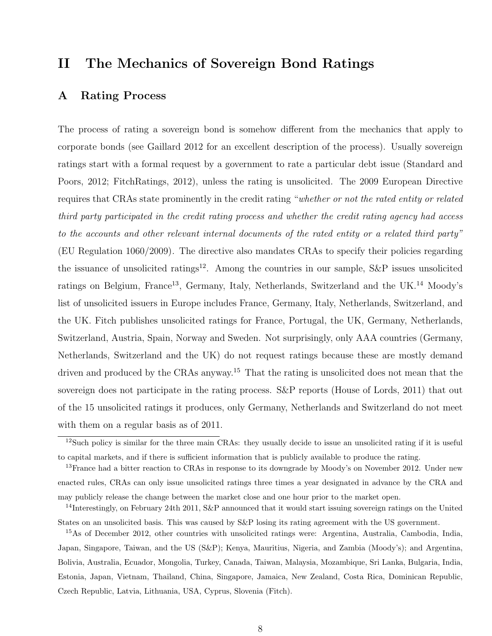# II The Mechanics of Sovereign Bond Ratings

# A Rating Process

The process of rating a sovereign bond is somehow different from the mechanics that apply to corporate bonds (see Gaillard 2012 for an excellent description of the process). Usually sovereign ratings start with a formal request by a government to rate a particular debt issue (Standard and Poors, 2012; FitchRatings, 2012), unless the rating is unsolicited. The 2009 European Directive requires that CRAs state prominently in the credit rating "whether or not the rated entity or related third party participated in the credit rating process and whether the credit rating agency had access to the accounts and other relevant internal documents of the rated entity or a related third party" (EU Regulation 1060/2009). The directive also mandates CRAs to specify their policies regarding the issuance of unsolicited ratings<sup>12</sup>. Among the countries in our sample,  $S\&P$  issues unsolicited ratings on Belgium, France<sup>13</sup>, Germany, Italy, Netherlands, Switzerland and the UK.<sup>14</sup> Moody's list of unsolicited issuers in Europe includes France, Germany, Italy, Netherlands, Switzerland, and the UK. Fitch publishes unsolicited ratings for France, Portugal, the UK, Germany, Netherlands, Switzerland, Austria, Spain, Norway and Sweden. Not surprisingly, only AAA countries (Germany, Netherlands, Switzerland and the UK) do not request ratings because these are mostly demand driven and produced by the CRAs anyway.<sup>15</sup> That the rating is unsolicited does not mean that the sovereign does not participate in the rating process. S&P reports (House of Lords, 2011) that out of the 15 unsolicited ratings it produces, only Germany, Netherlands and Switzerland do not meet with them on a regular basis as of 2011.

<sup>12</sup>Such policy is similar for the three main CRAs: they usually decide to issue an unsolicited rating if it is useful to capital markets, and if there is sufficient information that is publicly available to produce the rating.

<sup>&</sup>lt;sup>13</sup>France had a bitter reaction to CRAs in response to its downgrade by Moody's on November 2012. Under new enacted rules, CRAs can only issue unsolicited ratings three times a year designated in advance by the CRA and may publicly release the change between the market close and one hour prior to the market open.

<sup>&</sup>lt;sup>14</sup>Interestingly, on February 24th 2011, S&P announced that it would start issuing sovereign ratings on the United States on an unsolicited basis. This was caused by S&P losing its rating agreement with the US government.

<sup>15</sup>As of December 2012, other countries with unsolicited ratings were: Argentina, Australia, Cambodia, India, Japan, Singapore, Taiwan, and the US (S&P); Kenya, Mauritius, Nigeria, and Zambia (Moody's); and Argentina, Bolivia, Australia, Ecuador, Mongolia, Turkey, Canada, Taiwan, Malaysia, Mozambique, Sri Lanka, Bulgaria, India, Estonia, Japan, Vietnam, Thailand, China, Singapore, Jamaica, New Zealand, Costa Rica, Dominican Republic, Czech Republic, Latvia, Lithuania, USA, Cyprus, Slovenia (Fitch).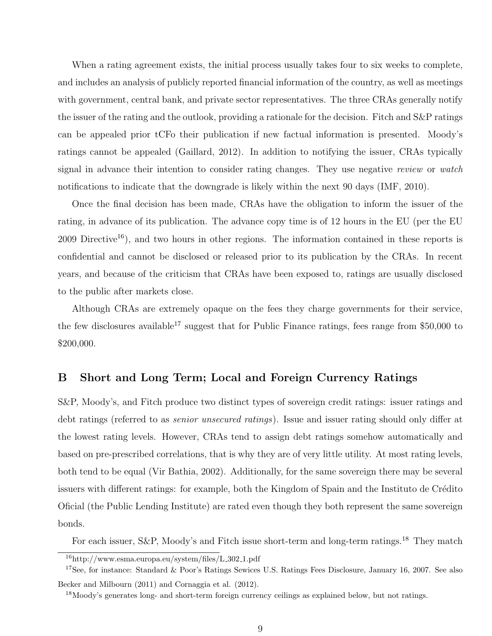When a rating agreement exists, the initial process usually takes four to six weeks to complete, and includes an analysis of publicly reported financial information of the country, as well as meetings with government, central bank, and private sector representatives. The three CRAs generally notify the issuer of the rating and the outlook, providing a rationale for the decision. Fitch and S&P ratings can be appealed prior tCFo their publication if new factual information is presented. Moody's ratings cannot be appealed (Gaillard, 2012). In addition to notifying the issuer, CRAs typically signal in advance their intention to consider rating changes. They use negative review or watch notifications to indicate that the downgrade is likely within the next 90 days (IMF, 2010).

Once the final decision has been made, CRAs have the obligation to inform the issuer of the rating, in advance of its publication. The advance copy time is of 12 hours in the EU (per the EU  $2009$  Directive<sup>16</sup>), and two hours in other regions. The information contained in these reports is confidential and cannot be disclosed or released prior to its publication by the CRAs. In recent years, and because of the criticism that CRAs have been exposed to, ratings are usually disclosed to the public after markets close.

Although CRAs are extremely opaque on the fees they charge governments for their service, the few disclosures available<sup>17</sup> suggest that for Public Finance ratings, fees range from  $$50,000$  to \$200,000.

# B Short and Long Term; Local and Foreign Currency Ratings

S&P, Moody's, and Fitch produce two distinct types of sovereign credit ratings: issuer ratings and debt ratings (referred to as *senior unsecured ratings*). Issue and issuer rating should only differ at the lowest rating levels. However, CRAs tend to assign debt ratings somehow automatically and based on pre-prescribed correlations, that is why they are of very little utility. At most rating levels, both tend to be equal (Vir Bathia, 2002). Additionally, for the same sovereign there may be several issuers with different ratings: for example, both the Kingdom of Spain and the Instituto de Crédito Oficial (the Public Lending Institute) are rated even though they both represent the same sovereign bonds.

For each issuer, S&P, Moody's and Fitch issue short-term and long-term ratings.<sup>18</sup> They match

Becker and Milbourn (2011) and Cornaggia et al. (2012).

<sup>16</sup>http://www.esma.europa.eu/system/files/L 302 1.pdf

<sup>&</sup>lt;sup>17</sup>See, for instance: Standard & Poor's Ratings Sewices U.S. Ratings Fees Disclosure, January 16, 2007. See also

<sup>&</sup>lt;sup>18</sup>Moody's generates long- and short-term foreign currency ceilings as explained below, but not ratings.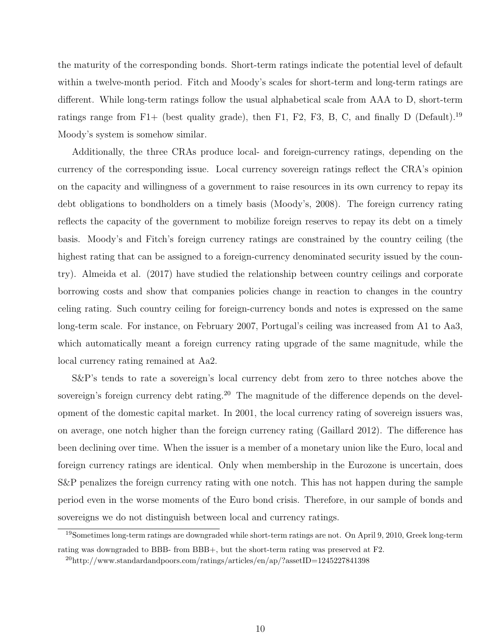the maturity of the corresponding bonds. Short-term ratings indicate the potential level of default within a twelve-month period. Fitch and Moody's scales for short-term and long-term ratings are different. While long-term ratings follow the usual alphabetical scale from AAA to D, short-term ratings range from F1+ (best quality grade), then F1, F2, F3, B, C, and finally D (Default).<sup>19</sup> Moody's system is somehow similar.

Additionally, the three CRAs produce local- and foreign-currency ratings, depending on the currency of the corresponding issue. Local currency sovereign ratings reflect the CRA's opinion on the capacity and willingness of a government to raise resources in its own currency to repay its debt obligations to bondholders on a timely basis (Moody's, 2008). The foreign currency rating reflects the capacity of the government to mobilize foreign reserves to repay its debt on a timely basis. Moody's and Fitch's foreign currency ratings are constrained by the country ceiling (the highest rating that can be assigned to a foreign-currency denominated security issued by the country). Almeida et al. (2017) have studied the relationship between country ceilings and corporate borrowing costs and show that companies policies change in reaction to changes in the country celing rating. Such country ceiling for foreign-currency bonds and notes is expressed on the same long-term scale. For instance, on February 2007, Portugal's ceiling was increased from A1 to Aa3, which automatically meant a foreign currency rating upgrade of the same magnitude, while the local currency rating remained at Aa2.

S&P's tends to rate a sovereign's local currency debt from zero to three notches above the sovereign's foreign currency debt rating.<sup>20</sup> The magnitude of the difference depends on the development of the domestic capital market. In 2001, the local currency rating of sovereign issuers was, on average, one notch higher than the foreign currency rating (Gaillard 2012). The difference has been declining over time. When the issuer is a member of a monetary union like the Euro, local and foreign currency ratings are identical. Only when membership in the Eurozone is uncertain, does S&P penalizes the foreign currency rating with one notch. This has not happen during the sample period even in the worse moments of the Euro bond crisis. Therefore, in our sample of bonds and sovereigns we do not distinguish between local and currency ratings.

<sup>&</sup>lt;sup>19</sup>Sometimes long-term ratings are downgraded while short-term ratings are not. On April 9, 2010, Greek long-term rating was downgraded to BBB- from BBB+, but the short-term rating was preserved at F2.

 $^{20}$ http://www.standardandpoors.com/ratings/articles/en/ap/?assetID=1245227841398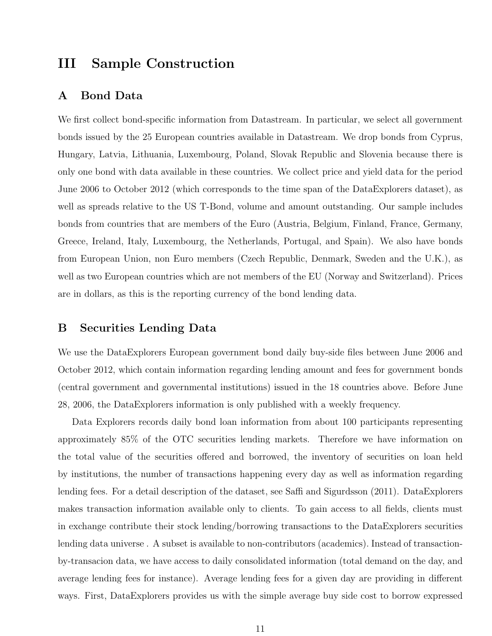# III Sample Construction

# A Bond Data

We first collect bond-specific information from Datastream. In particular, we select all government bonds issued by the 25 European countries available in Datastream. We drop bonds from Cyprus, Hungary, Latvia, Lithuania, Luxembourg, Poland, Slovak Republic and Slovenia because there is only one bond with data available in these countries. We collect price and yield data for the period June 2006 to October 2012 (which corresponds to the time span of the DataExplorers dataset), as well as spreads relative to the US T-Bond, volume and amount outstanding. Our sample includes bonds from countries that are members of the Euro (Austria, Belgium, Finland, France, Germany, Greece, Ireland, Italy, Luxembourg, the Netherlands, Portugal, and Spain). We also have bonds from European Union, non Euro members (Czech Republic, Denmark, Sweden and the U.K.), as well as two European countries which are not members of the EU (Norway and Switzerland). Prices are in dollars, as this is the reporting currency of the bond lending data.

# B Securities Lending Data

We use the DataExplorers European government bond daily buy-side files between June 2006 and October 2012, which contain information regarding lending amount and fees for government bonds (central government and governmental institutions) issued in the 18 countries above. Before June 28, 2006, the DataExplorers information is only published with a weekly frequency.

Data Explorers records daily bond loan information from about 100 participants representing approximately 85% of the OTC securities lending markets. Therefore we have information on the total value of the securities offered and borrowed, the inventory of securities on loan held by institutions, the number of transactions happening every day as well as information regarding lending fees. For a detail description of the dataset, see Saffi and Sigurdsson (2011). DataExplorers makes transaction information available only to clients. To gain access to all fields, clients must in exchange contribute their stock lending/borrowing transactions to the DataExplorers securities lending data universe . A subset is available to non-contributors (academics). Instead of transactionby-transacion data, we have access to daily consolidated information (total demand on the day, and average lending fees for instance). Average lending fees for a given day are providing in different ways. First, DataExplorers provides us with the simple average buy side cost to borrow expressed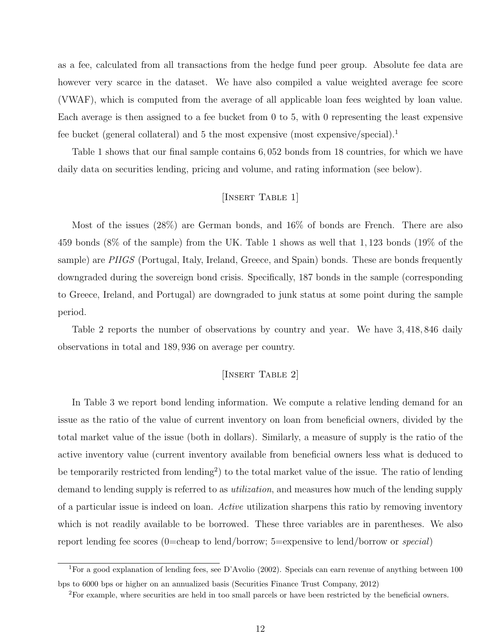as a fee, calculated from all transactions from the hedge fund peer group. Absolute fee data are however very scarce in the dataset. We have also compiled a value weighted average fee score (VWAF), which is computed from the average of all applicable loan fees weighted by loan value. Each average is then assigned to a fee bucket from 0 to 5, with 0 representing the least expensive fee bucket (general collateral) and 5 the most expensive (most expensive/special).<sup>1</sup>

Table 1 shows that our final sample contains 6, 052 bonds from 18 countries, for which we have daily data on securities lending, pricing and volume, and rating information (see below).

## [INSERT TABLE 1]

Most of the issues (28%) are German bonds, and 16% of bonds are French. There are also 459 bonds (8% of the sample) from the UK. Table 1 shows as well that 1, 123 bonds (19% of the sample) are PIIGS (Portugal, Italy, Ireland, Greece, and Spain) bonds. These are bonds frequently downgraded during the sovereign bond crisis. Specifically, 187 bonds in the sample (corresponding to Greece, Ireland, and Portugal) are downgraded to junk status at some point during the sample period.

Table 2 reports the number of observations by country and year. We have 3, 418, 846 daily observations in total and 189, 936 on average per country.

## [INSERT TABLE 2]

In Table 3 we report bond lending information. We compute a relative lending demand for an issue as the ratio of the value of current inventory on loan from beneficial owners, divided by the total market value of the issue (both in dollars). Similarly, a measure of supply is the ratio of the active inventory value (current inventory available from beneficial owners less what is deduced to be temporarily restricted from lending<sup>2</sup>) to the total market value of the issue. The ratio of lending demand to lending supply is referred to as *utilization*, and measures how much of the lending supply of a particular issue is indeed on loan. Active utilization sharpens this ratio by removing inventory which is not readily available to be borrowed. These three variables are in parentheses. We also report lending fee scores (0=cheap to lend/borrow; 5=expensive to lend/borrow or special)

<sup>&</sup>lt;sup>1</sup>For a good explanation of lending fees, see D'Avolio (2002). Specials can earn revenue of anything between 100 bps to 6000 bps or higher on an annualized basis (Securities Finance Trust Company, 2012)

<sup>2</sup>For example, where securities are held in too small parcels or have been restricted by the beneficial owners.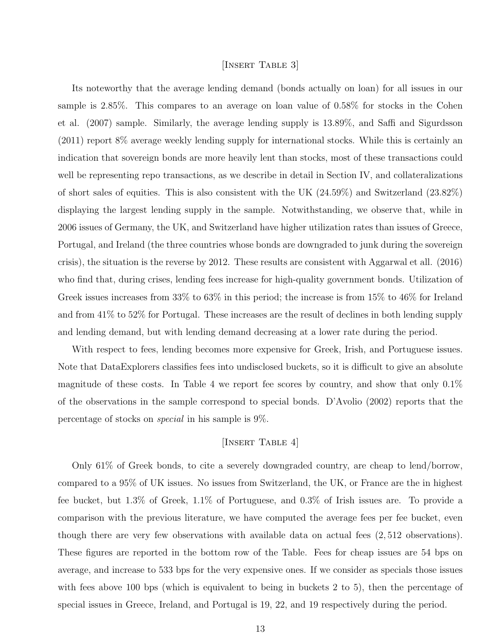# [Insert Table 3]

Its noteworthy that the average lending demand (bonds actually on loan) for all issues in our sample is 2.85%. This compares to an average on loan value of 0.58% for stocks in the Cohen et al. (2007) sample. Similarly, the average lending supply is 13.89%, and Saffi and Sigurdsson (2011) report 8% average weekly lending supply for international stocks. While this is certainly an indication that sovereign bonds are more heavily lent than stocks, most of these transactions could well be representing repo transactions, as we describe in detail in Section IV, and collateralizations of short sales of equities. This is also consistent with the UK (24.59%) and Switzerland (23.82%) displaying the largest lending supply in the sample. Notwithstanding, we observe that, while in 2006 issues of Germany, the UK, and Switzerland have higher utilization rates than issues of Greece, Portugal, and Ireland (the three countries whose bonds are downgraded to junk during the sovereign crisis), the situation is the reverse by 2012. These results are consistent with Aggarwal et all. (2016) who find that, during crises, lending fees increase for high-quality government bonds. Utilization of Greek issues increases from 33% to 63% in this period; the increase is from 15% to 46% for Ireland and from 41% to 52% for Portugal. These increases are the result of declines in both lending supply and lending demand, but with lending demand decreasing at a lower rate during the period.

With respect to fees, lending becomes more expensive for Greek, Irish, and Portuguese issues. Note that DataExplorers classifies fees into undisclosed buckets, so it is difficult to give an absolute magnitude of these costs. In Table 4 we report fee scores by country, and show that only 0.1% of the observations in the sample correspond to special bonds. D'Avolio (2002) reports that the percentage of stocks on special in his sample is 9%.

# [INSERT TABLE 4]

Only 61% of Greek bonds, to cite a severely downgraded country, are cheap to lend/borrow, compared to a 95% of UK issues. No issues from Switzerland, the UK, or France are the in highest fee bucket, but 1.3% of Greek, 1.1% of Portuguese, and 0.3% of Irish issues are. To provide a comparison with the previous literature, we have computed the average fees per fee bucket, even though there are very few observations with available data on actual fees (2, 512 observations). These figures are reported in the bottom row of the Table. Fees for cheap issues are 54 bps on average, and increase to 533 bps for the very expensive ones. If we consider as specials those issues with fees above 100 bps (which is equivalent to being in buckets 2 to 5), then the percentage of special issues in Greece, Ireland, and Portugal is 19, 22, and 19 respectively during the period.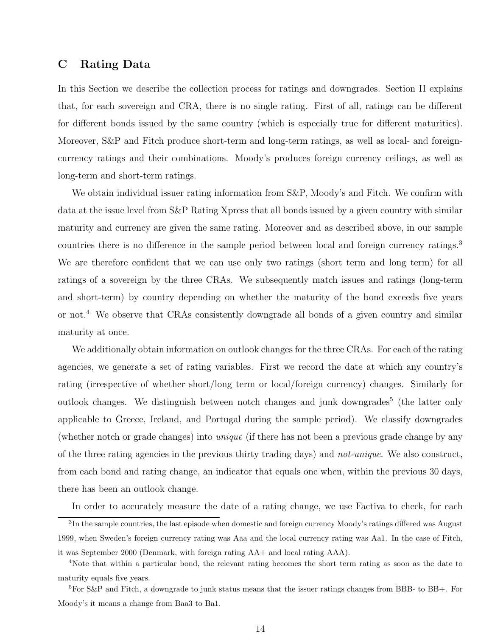## C Rating Data

In this Section we describe the collection process for ratings and downgrades. Section II explains that, for each sovereign and CRA, there is no single rating. First of all, ratings can be different for different bonds issued by the same country (which is especially true for different maturities). Moreover, S&P and Fitch produce short-term and long-term ratings, as well as local- and foreigncurrency ratings and their combinations. Moody's produces foreign currency ceilings, as well as long-term and short-term ratings.

We obtain individual issuer rating information from S&P, Moody's and Fitch. We confirm with data at the issue level from S&P Rating Xpress that all bonds issued by a given country with similar maturity and currency are given the same rating. Moreover and as described above, in our sample countries there is no difference in the sample period between local and foreign currency ratings.<sup>3</sup> We are therefore confident that we can use only two ratings (short term and long term) for all ratings of a sovereign by the three CRAs. We subsequently match issues and ratings (long-term and short-term) by country depending on whether the maturity of the bond exceeds five years or not.<sup>4</sup> We observe that CRAs consistently downgrade all bonds of a given country and similar maturity at once.

We additionally obtain information on outlook changes for the three CRAs. For each of the rating agencies, we generate a set of rating variables. First we record the date at which any country's rating (irrespective of whether short/long term or local/foreign currency) changes. Similarly for outlook changes. We distinguish between notch changes and junk downgrades<sup>5</sup> (the latter only applicable to Greece, Ireland, and Portugal during the sample period). We classify downgrades (whether notch or grade changes) into unique (if there has not been a previous grade change by any of the three rating agencies in the previous thirty trading days) and not-unique. We also construct, from each bond and rating change, an indicator that equals one when, within the previous 30 days, there has been an outlook change.

In order to accurately measure the date of a rating change, we use Factiva to check, for each

 ${}^{3}$ In the sample countries, the last episode when domestic and foreign currency Moody's ratings differed was August 1999, when Sweden's foreign currency rating was Aaa and the local currency rating was Aa1. In the case of Fitch, it was September 2000 (Denmark, with foreign rating AA+ and local rating AAA).

<sup>4</sup>Note that within a particular bond, the relevant rating becomes the short term rating as soon as the date to maturity equals five years.

<sup>&</sup>lt;sup>5</sup>For S&P and Fitch, a downgrade to junk status means that the issuer ratings changes from BBB- to BB+. For Moody's it means a change from Baa3 to Ba1.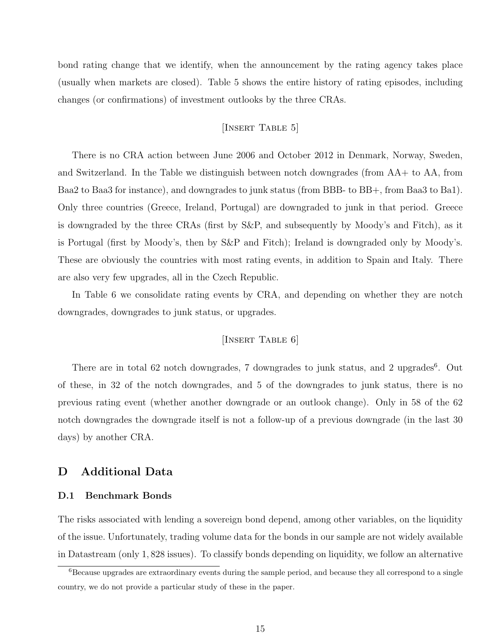bond rating change that we identify, when the announcement by the rating agency takes place (usually when markets are closed). Table 5 shows the entire history of rating episodes, including changes (or confirmations) of investment outlooks by the three CRAs.

# [INSERT TABLE 5]

There is no CRA action between June 2006 and October 2012 in Denmark, Norway, Sweden, and Switzerland. In the Table we distinguish between notch downgrades (from AA+ to AA, from Baa2 to Baa3 for instance), and downgrades to junk status (from BBB- to BB+, from Baa3 to Ba1). Only three countries (Greece, Ireland, Portugal) are downgraded to junk in that period. Greece is downgraded by the three CRAs (first by S&P, and subsequently by Moody's and Fitch), as it is Portugal (first by Moody's, then by S&P and Fitch); Ireland is downgraded only by Moody's. These are obviously the countries with most rating events, in addition to Spain and Italy. There are also very few upgrades, all in the Czech Republic.

In Table 6 we consolidate rating events by CRA, and depending on whether they are notch downgrades, downgrades to junk status, or upgrades.

### [INSERT TABLE 6]

There are in total 62 notch downgrades, 7 downgrades to junk status, and 2 upgrades<sup>6</sup>. Out of these, in 32 of the notch downgrades, and 5 of the downgrades to junk status, there is no previous rating event (whether another downgrade or an outlook change). Only in 58 of the 62 notch downgrades the downgrade itself is not a follow-up of a previous downgrade (in the last 30 days) by another CRA.

# D Additional Data

#### D.1 Benchmark Bonds

The risks associated with lending a sovereign bond depend, among other variables, on the liquidity of the issue. Unfortunately, trading volume data for the bonds in our sample are not widely available in Datastream (only 1, 828 issues). To classify bonds depending on liquidity, we follow an alternative

<sup>&</sup>lt;sup>6</sup>Because upgrades are extraordinary events during the sample period, and because they all correspond to a single country, we do not provide a particular study of these in the paper.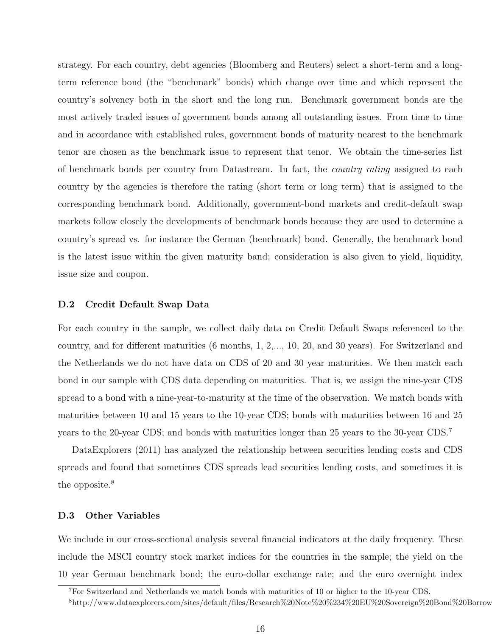strategy. For each country, debt agencies (Bloomberg and Reuters) select a short-term and a longterm reference bond (the "benchmark" bonds) which change over time and which represent the country's solvency both in the short and the long run. Benchmark government bonds are the most actively traded issues of government bonds among all outstanding issues. From time to time and in accordance with established rules, government bonds of maturity nearest to the benchmark tenor are chosen as the benchmark issue to represent that tenor. We obtain the time-series list of benchmark bonds per country from Datastream. In fact, the country rating assigned to each country by the agencies is therefore the rating (short term or long term) that is assigned to the corresponding benchmark bond. Additionally, government-bond markets and credit-default swap markets follow closely the developments of benchmark bonds because they are used to determine a country's spread vs. for instance the German (benchmark) bond. Generally, the benchmark bond is the latest issue within the given maturity band; consideration is also given to yield, liquidity, issue size and coupon.

#### D.2 Credit Default Swap Data

For each country in the sample, we collect daily data on Credit Default Swaps referenced to the country, and for different maturities (6 months, 1, 2,..., 10, 20, and 30 years). For Switzerland and the Netherlands we do not have data on CDS of 20 and 30 year maturities. We then match each bond in our sample with CDS data depending on maturities. That is, we assign the nine-year CDS spread to a bond with a nine-year-to-maturity at the time of the observation. We match bonds with maturities between 10 and 15 years to the 10-year CDS; bonds with maturities between 16 and 25 years to the 20-year CDS; and bonds with maturities longer than 25 years to the 30-year CDS.<sup>7</sup>

DataExplorers (2011) has analyzed the relationship between securities lending costs and CDS spreads and found that sometimes CDS spreads lead securities lending costs, and sometimes it is the opposite.<sup>8</sup>

### D.3 Other Variables

We include in our cross-sectional analysis several financial indicators at the daily frequency. These include the MSCI country stock market indices for the countries in the sample; the yield on the 10 year German benchmark bond; the euro-dollar exchange rate; and the euro overnight index

<sup>7</sup>For Switzerland and Netherlands we match bonds with maturities of 10 or higher to the 10-year CDS.

 $8$ http://www.dataexplorers.com/sites/default/files/Research%20Note%20%234%20EU%20Sovereign%20Bond%20Borrow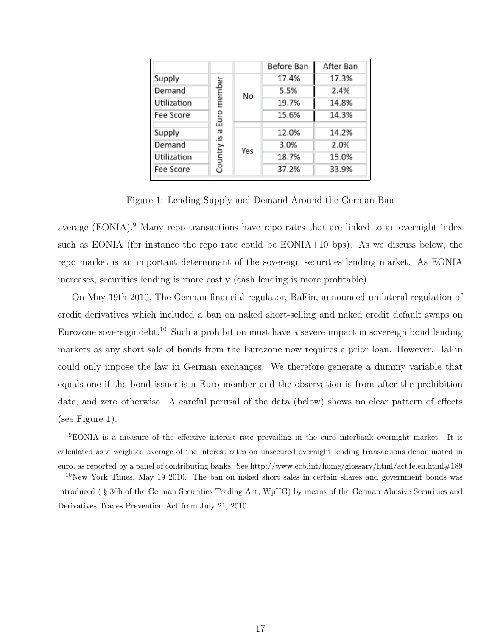|             |          |     | Before Ban | After Ban |  |
|-------------|----------|-----|------------|-----------|--|
| Supply      |          |     | 17.4%      | 17.3%     |  |
| Demand      | member   | No  | 5.5%       | 2.4%      |  |
| Utilization |          |     | 19.7%      | 14.8%     |  |
| Fee Score   | Euro     |     | 15.6%      | 14.3%     |  |
| Supply      | æ        |     | 12.0%      | 14.2%     |  |
| Demand      | <u>ي</u> |     | 3.0%       | 2.0%      |  |
| Utilization | Country  | Yes | 18.7%      | 15.0%     |  |
| Fee Score   |          |     | 37.2%      | 33.9%     |  |

Figure 1: Lending Supply and Demand Around the German Ban

average (EONIA).<sup>9</sup> Many repo transactions have repo rates that are linked to an overnight index such as EONIA (for instance the repo rate could be EONIA+10 bps). As we discuss below, the repo market is an important determinant of the sovereign securities lending market. As EONIA increases, securities lending is more costly (cash lending is more profitable).

On May 19th 2010, The German financial regulator, BaFin, announced unilateral regulation of credit derivatives which included a ban on naked short-selling and naked credit default swaps on Eurozone sovereign debt.<sup>10</sup> Such a prohibition must have a severe impact in sovereign bond lending markets as any short sale of bonds from the Eurozone now requires a prior loan. However, BaFin could only impose the law in German exchanges. We therefore generate a dummy variable that equals one if the bond issuer is a Euro member and the observation is from after the prohibition date, and zero otherwise. A careful perusal of the data (below) shows no clear pattern of effects (see Figure 1).

<sup>9</sup>EONIA is a measure of the effective interest rate prevailing in the euro interbank overnight market. It is calculated as a weighted average of the interest rates on unsecured overnight lending transactions denominated in euro, as reported by a panel of contributing banks. See http://www.ecb.int/home/glossary/html/act4e.en.html#189

 $10$ New York Times, May 19 2010. The ban on naked short sales in certain shares and government bonds was introduced ( § 30h of the German Securities Trading Act, WpHG) by means of the German Abusive Securities and Derivatives Trades Prevention Act from July 21, 2010.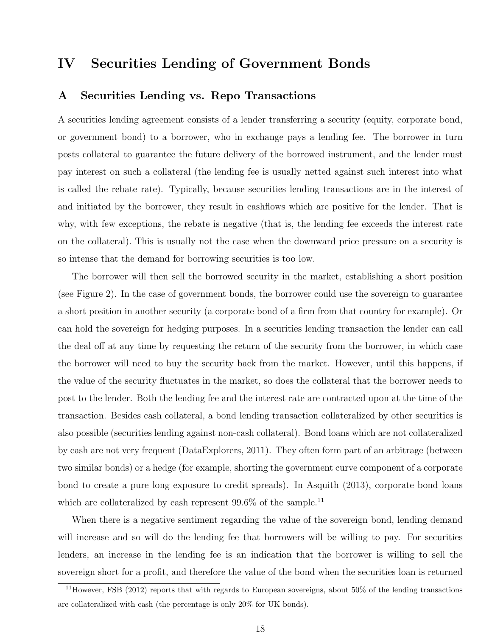# IV Securities Lending of Government Bonds

# A Securities Lending vs. Repo Transactions

A securities lending agreement consists of a lender transferring a security (equity, corporate bond, or government bond) to a borrower, who in exchange pays a lending fee. The borrower in turn posts collateral to guarantee the future delivery of the borrowed instrument, and the lender must pay interest on such a collateral (the lending fee is usually netted against such interest into what is called the rebate rate). Typically, because securities lending transactions are in the interest of and initiated by the borrower, they result in cashflows which are positive for the lender. That is why, with few exceptions, the rebate is negative (that is, the lending fee exceeds the interest rate on the collateral). This is usually not the case when the downward price pressure on a security is so intense that the demand for borrowing securities is too low.

The borrower will then sell the borrowed security in the market, establishing a short position (see Figure 2). In the case of government bonds, the borrower could use the sovereign to guarantee a short position in another security (a corporate bond of a firm from that country for example). Or can hold the sovereign for hedging purposes. In a securities lending transaction the lender can call the deal off at any time by requesting the return of the security from the borrower, in which case the borrower will need to buy the security back from the market. However, until this happens, if the value of the security fluctuates in the market, so does the collateral that the borrower needs to post to the lender. Both the lending fee and the interest rate are contracted upon at the time of the transaction. Besides cash collateral, a bond lending transaction collateralized by other securities is also possible (securities lending against non-cash collateral). Bond loans which are not collateralized by cash are not very frequent (DataExplorers, 2011). They often form part of an arbitrage (between two similar bonds) or a hedge (for example, shorting the government curve component of a corporate bond to create a pure long exposure to credit spreads). In Asquith (2013), corporate bond loans which are collateralized by cash represent  $99.6\%$  of the sample.<sup>11</sup>

When there is a negative sentiment regarding the value of the sovereign bond, lending demand will increase and so will do the lending fee that borrowers will be willing to pay. For securities lenders, an increase in the lending fee is an indication that the borrower is willing to sell the sovereign short for a profit, and therefore the value of the bond when the securities loan is returned

<sup>11</sup>However, FSB (2012) reports that with regards to European sovereigns, about 50% of the lending transactions are collateralized with cash (the percentage is only 20% for UK bonds).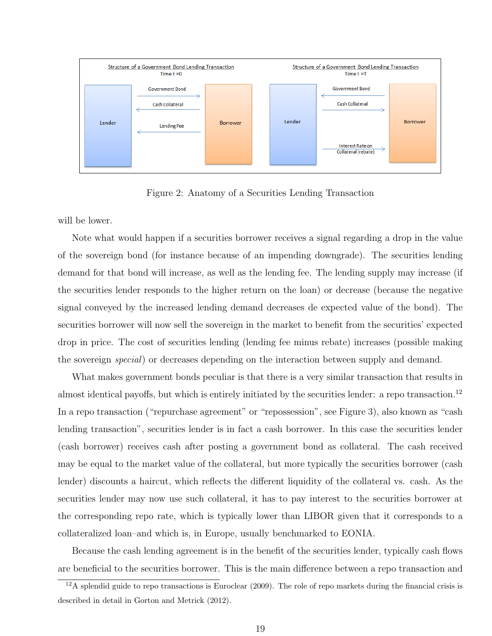

Figure 2: Anatomy of a Securities Lending Transaction

will be lower.

Note what would happen if a securities borrower receives a signal regarding a drop in the value of the sovereign bond (for instance because of an impending downgrade). The securities lending demand for that bond will increase, as well as the lending fee. The lending supply may increase (if the securities lender responds to the higher return on the loan) or decrease (because the negative signal conveyed by the increased lending demand decreases de expected value of the bond). The securities borrower will now sell the sovereign in the market to benefit from the securities' expected drop in price. The cost of securities lending (lending fee minus rebate) increases (possible making the sovereign special) or decreases depending on the interaction between supply and demand.

What makes government bonds peculiar is that there is a very similar transaction that results in almost identical payoffs, but which is entirely initiated by the securities lender: a repo transaction.<sup>12</sup> In a repo transaction ("repurchase agreement" or "repossession", see Figure 3), also known as "cash" lending transaction", securities lender is in fact a cash borrower. In this case the securities lender (cash borrower) receives cash after posting a government bond as collateral. The cash received may be equal to the market value of the collateral, but more typically the securities borrower (cash lender) discounts a haircut, which reflects the different liquidity of the collateral vs. cash. As the securities lender may now use such collateral, it has to pay interest to the securities borrower at the corresponding repo rate, which is typically lower than LIBOR given that it corresponds to a collateralized loan–and which is, in Europe, usually benchmarked to EONIA.

Because the cash lending agreement is in the benefit of the securities lender, typically cash flows are beneficial to the securities borrower. This is the main difference between a repo transaction and

 $12A$  splendid guide to repo transactions is Euroclear (2009). The role of repo markets during the financial crisis is described in detail in Gorton and Metrick (2012).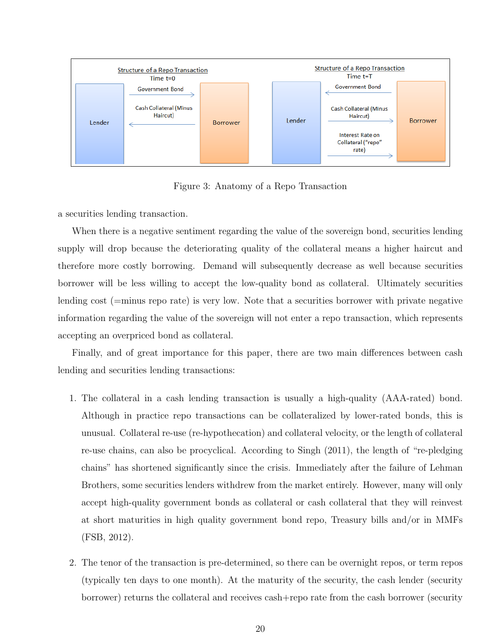

Figure 3: Anatomy of a Repo Transaction

a securities lending transaction.

When there is a negative sentiment regarding the value of the sovereign bond, securities lending supply will drop because the deteriorating quality of the collateral means a higher haircut and therefore more costly borrowing. Demand will subsequently decrease as well because securities borrower will be less willing to accept the low-quality bond as collateral. Ultimately securities lending cost (=minus repo rate) is very low. Note that a securities borrower with private negative information regarding the value of the sovereign will not enter a repo transaction, which represents accepting an overpriced bond as collateral.

Finally, and of great importance for this paper, there are two main differences between cash lending and securities lending transactions:

- 1. The collateral in a cash lending transaction is usually a high-quality (AAA-rated) bond. Although in practice repo transactions can be collateralized by lower-rated bonds, this is unusual. Collateral re-use (re-hypothecation) and collateral velocity, or the length of collateral re-use chains, can also be procyclical. According to Singh (2011), the length of "re-pledging chains" has shortened significantly since the crisis. Immediately after the failure of Lehman Brothers, some securities lenders withdrew from the market entirely. However, many will only accept high-quality government bonds as collateral or cash collateral that they will reinvest at short maturities in high quality government bond repo, Treasury bills and/or in MMFs (FSB, 2012).
- 2. The tenor of the transaction is pre-determined, so there can be overnight repos, or term repos (typically ten days to one month). At the maturity of the security, the cash lender (security borrower) returns the collateral and receives cash+repo rate from the cash borrower (security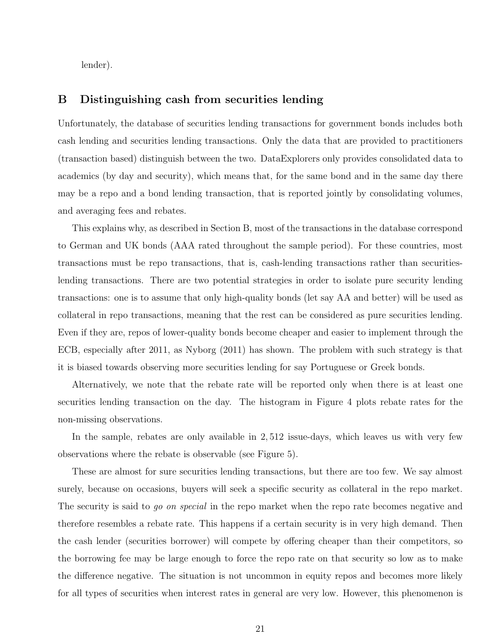lender).

# B Distinguishing cash from securities lending

Unfortunately, the database of securities lending transactions for government bonds includes both cash lending and securities lending transactions. Only the data that are provided to practitioners (transaction based) distinguish between the two. DataExplorers only provides consolidated data to academics (by day and security), which means that, for the same bond and in the same day there may be a repo and a bond lending transaction, that is reported jointly by consolidating volumes, and averaging fees and rebates.

This explains why, as described in Section B, most of the transactions in the database correspond to German and UK bonds (AAA rated throughout the sample period). For these countries, most transactions must be repo transactions, that is, cash-lending transactions rather than securitieslending transactions. There are two potential strategies in order to isolate pure security lending transactions: one is to assume that only high-quality bonds (let say AA and better) will be used as collateral in repo transactions, meaning that the rest can be considered as pure securities lending. Even if they are, repos of lower-quality bonds become cheaper and easier to implement through the ECB, especially after 2011, as Nyborg (2011) has shown. The problem with such strategy is that it is biased towards observing more securities lending for say Portuguese or Greek bonds.

Alternatively, we note that the rebate rate will be reported only when there is at least one securities lending transaction on the day. The histogram in Figure 4 plots rebate rates for the non-missing observations.

In the sample, rebates are only available in 2, 512 issue-days, which leaves us with very few observations where the rebate is observable (see Figure 5).

These are almost for sure securities lending transactions, but there are too few. We say almost surely, because on occasions, buyers will seek a specific security as collateral in the repo market. The security is said to go on special in the repo market when the repo rate becomes negative and therefore resembles a rebate rate. This happens if a certain security is in very high demand. Then the cash lender (securities borrower) will compete by offering cheaper than their competitors, so the borrowing fee may be large enough to force the repo rate on that security so low as to make the difference negative. The situation is not uncommon in equity repos and becomes more likely for all types of securities when interest rates in general are very low. However, this phenomenon is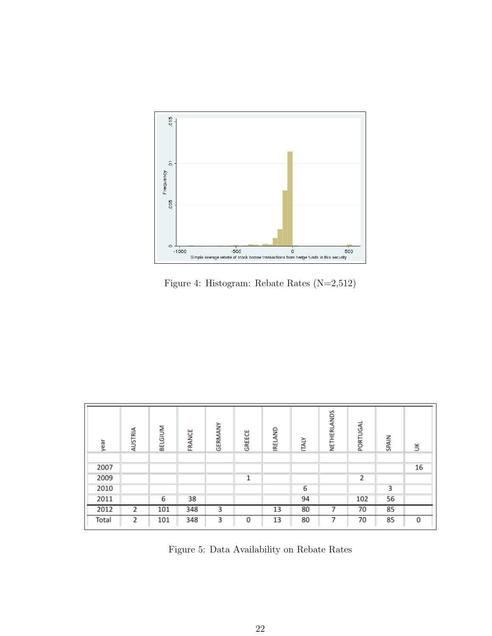

Figure 4: Histogram: Rebate Rates (N=2,512)

| year  | AUSTRIA                 | BELGIUM | FRANCE | GERMANY | GREECE | IRELAND | <b>ITALY</b> | NETHERLANDS | PORTUGAL | SPAIN | š  |
|-------|-------------------------|---------|--------|---------|--------|---------|--------------|-------------|----------|-------|----|
|       |                         |         |        |         |        |         |              |             |          |       |    |
| 2007  |                         |         |        |         |        |         |              |             |          |       | 16 |
| 2009  |                         |         |        |         | 1      |         |              |             | 2        |       |    |
| 2010  |                         |         |        |         |        |         | 6            |             |          | 3     |    |
| 2011  |                         | 6       | 38     |         |        |         | 94           |             | 102      | 56    |    |
| 2012  | $\overline{\mathbf{z}}$ | 101     | 348    | 3       |        | 13      | 80           |             | 70       | 85    |    |
| Total | 2                       | 101     | 348    | 3       | 0      | 13      | 80           | 7           | 70       | 85    | 0  |

Figure 5: Data Availability on Rebate Rates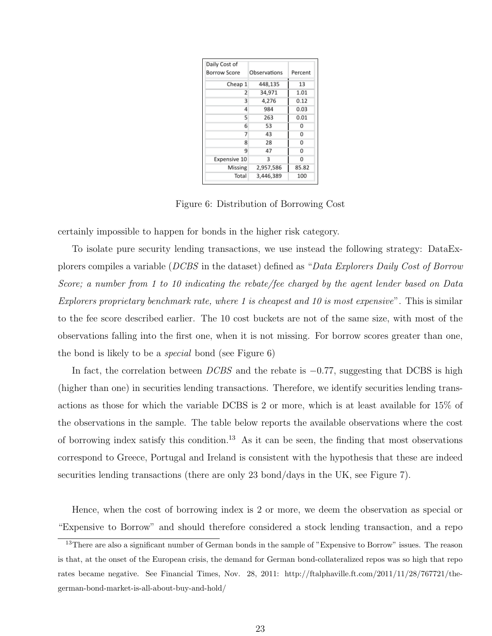| Daily Cost of |              |         |
|---------------|--------------|---------|
| Borrow Score  | Observations | Percent |
| Cheap 1       | 448,135      | 13      |
| 2             | 34,971       | 1.01    |
| 3             | 4.276        | 0.12    |
| 4             | 984          | 0.03    |
| 5             | 263          | 0.01    |
| 6             | 53           | 0       |
| 7             | 43           | 0       |
| 8             | 28           | 0       |
| 9             | 47           | 0       |
| Expensive 10  | 3            | 0       |
| Missing       | 2,957,586    | 85.82   |
| Total         | 3,446,389    | 100     |

Figure 6: Distribution of Borrowing Cost

certainly impossible to happen for bonds in the higher risk category.

To isolate pure security lending transactions, we use instead the following strategy: DataExplorers compiles a variable (DCBS in the dataset) defined as "Data Explorers Daily Cost of Borrow Score; a number from 1 to 10 indicating the rebate/fee charged by the agent lender based on Data Explorers proprietary benchmark rate, where 1 is cheapest and 10 is most expensive". This is similar to the fee score described earlier. The 10 cost buckets are not of the same size, with most of the observations falling into the first one, when it is not missing. For borrow scores greater than one, the bond is likely to be a special bond (see Figure 6)

In fact, the correlation between  $DCBS$  and the rebate is  $-0.77$ , suggesting that DCBS is high (higher than one) in securities lending transactions. Therefore, we identify securities lending transactions as those for which the variable DCBS is 2 or more, which is at least available for 15% of the observations in the sample. The table below reports the available observations where the cost of borrowing index satisfy this condition.<sup>13</sup> As it can be seen, the finding that most observations correspond to Greece, Portugal and Ireland is consistent with the hypothesis that these are indeed securities lending transactions (there are only 23 bond/days in the UK, see Figure 7).

Hence, when the cost of borrowing index is 2 or more, we deem the observation as special or "Expensive to Borrow" and should therefore considered a stock lending transaction, and a repo

 $13$ There are also a significant number of German bonds in the sample of "Expensive to Borrow" issues. The reason is that, at the onset of the European crisis, the demand for German bond-collateralized repos was so high that repo rates became negative. See Financial Times, Nov. 28, 2011: http://ftalphaville.ft.com/2011/11/28/767721/thegerman-bond-market-is-all-about-buy-and-hold/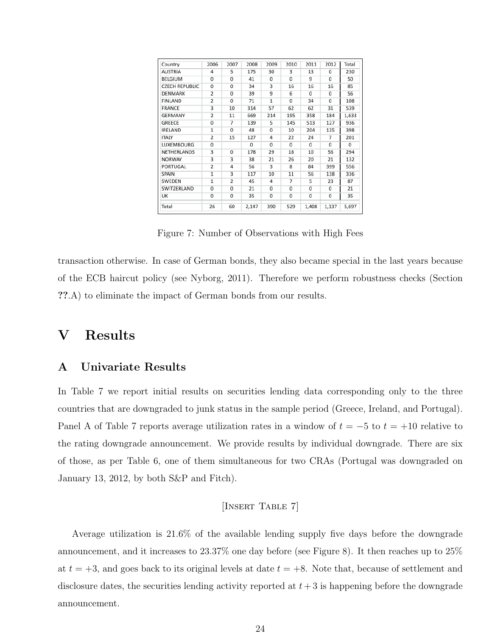| Country               | 2006                    | 2007                    | 2008           | 2009           | 2010           | 2011           | 2012           | Total    |
|-----------------------|-------------------------|-------------------------|----------------|----------------|----------------|----------------|----------------|----------|
| <b>AUSTRIA</b>        | $\overline{4}$          | 5                       | 175            | 30             | 3              | 13             | $\Omega$       | 230      |
| BELGIUM               | $\Omega$                | 0                       | 41             | 0              | 0              | 9              | 0              | 50       |
| <b>CZECH REPUBLIC</b> | $\overline{0}$          | $\overline{0}$          | 34             | 3              | 16             | 16             | 16             | 85       |
| DENMARK               | $\overline{2}$          | 0                       | 39             | 9              | 6              | $\Omega$       | 0              | 56       |
| FINLAND               | $\overline{2}$          | $\overline{0}$          | 71             | $\overline{1}$ | $\overline{0}$ | 34             | $\overline{0}$ | 108      |
| FRANCE                | 3                       | 10                      | 314            | 57             | 62             | 62             | 31             | 539      |
| GERMANY               | $\overline{2}$          | 11                      | 669            | 214            | 195            | 358            | 184            | 1,633    |
| GREECE                | $\mathbf{0}$            | 7                       | 139            | 5              | 145            | 513            | 127            | 936      |
| <b>IRELAND</b>        | 1                       | $\Omega$                | 48             | 0              | 10             | 204            | 135            | 398      |
| <b>ITALY</b>          | $\overline{2}$          | 15                      | 127            | $\overline{4}$ | 22             | 24             | 7              | 201      |
| LUXEMBOURG            | $\overline{0}$          |                         | $\overline{0}$ | $\overline{0}$ | 0              | $\Omega$       | 0              | $\Omega$ |
| NETHERLANDS           | 3                       | 0                       | 178            | 29             | 18             | 10             | 56             | 294      |
| NORWAY                | 3                       | $\overline{\mathbf{3}}$ | 38             | 21             | 26             | 20             | 21             | 132      |
| PORTUGAL              | $\overline{\mathbf{z}}$ | 4                       | 56             | 3              | 8              | 84             | 399            | 556      |
| <b>SPAIN</b>          | 1                       | 3                       | 117            | 10             | 11             | 56             | 138            | 336      |
| SWEDEN                | $\overline{1}$          | $\overline{2}$          | 45             | 4              | 7              | 5              | 23             | 87       |
| SWITZERLAND           | $\Omega$                | $\Omega$                | 21             | $\Omega$       | 0              | 0              | 0              | 21       |
| UK                    | $\overline{0}$          | 0                       | 35             | $\overline{0}$ | 0              | $\overline{0}$ | 0              | 35       |
| Total                 | 26                      | 60                      | 2,147          | 390            | 529            | 1,408          | 1,137          | 5,697    |

Figure 7: Number of Observations with High Fees

transaction otherwise. In case of German bonds, they also became special in the last years because of the ECB haircut policy (see Nyborg, 2011). Therefore we perform robustness checks (Section ??.A) to eliminate the impact of German bonds from our results.

# V Results

## A Univariate Results

In Table 7 we report initial results on securities lending data corresponding only to the three countries that are downgraded to junk status in the sample period (Greece, Ireland, and Portugal). Panel A of Table 7 reports average utilization rates in a window of  $t = -5$  to  $t = +10$  relative to the rating downgrade announcement. We provide results by individual downgrade. There are six of those, as per Table 6, one of them simultaneous for two CRAs (Portugal was downgraded on January 13, 2012, by both S&P and Fitch).

### [Insert Table 7]

Average utilization is 21.6% of the available lending supply five days before the downgrade announcement, and it increases to 23.37% one day before (see Figure 8). It then reaches up to 25% at  $t = +3$ , and goes back to its original levels at date  $t = +8$ . Note that, because of settlement and disclosure dates, the securities lending activity reported at  $t + 3$  is happening before the downgrade announcement.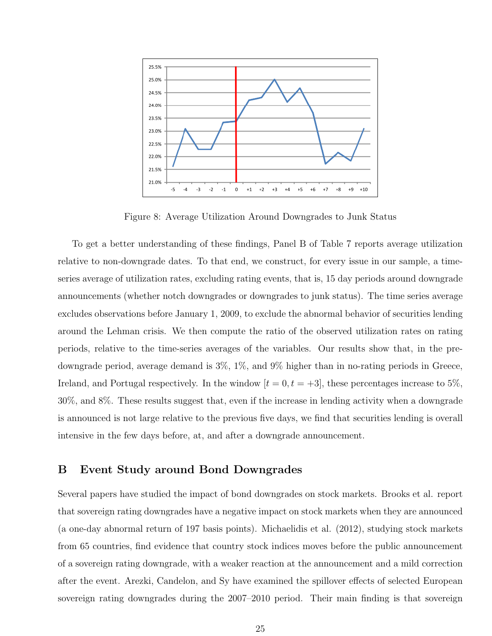

Figure 8: Average Utilization Around Downgrades to Junk Status

To get a better understanding of these findings, Panel B of Table 7 reports average utilization relative to non-downgrade dates. To that end, we construct, for every issue in our sample, a timeseries average of utilization rates, excluding rating events, that is, 15 day periods around downgrade announcements (whether notch downgrades or downgrades to junk status). The time series average excludes observations before January 1, 2009, to exclude the abnormal behavior of securities lending around the Lehman crisis. We then compute the ratio of the observed utilization rates on rating periods, relative to the time-series averages of the variables. Our results show that, in the predowngrade period, average demand is 3%, 1%, and 9% higher than in no-rating periods in Greece, Ireland, and Portugal respectively. In the window  $[t = 0, t = +3]$ , these percentages increase to 5%, 30%, and 8%. These results suggest that, even if the increase in lending activity when a downgrade is announced is not large relative to the previous five days, we find that securities lending is overall intensive in the few days before, at, and after a downgrade announcement.

# B Event Study around Bond Downgrades

Several papers have studied the impact of bond downgrades on stock markets. Brooks et al. report that sovereign rating downgrades have a negative impact on stock markets when they are announced (a one-day abnormal return of 197 basis points). Michaelidis et al. (2012), studying stock markets from 65 countries, find evidence that country stock indices moves before the public announcement of a sovereign rating downgrade, with a weaker reaction at the announcement and a mild correction after the event. Arezki, Candelon, and Sy have examined the spillover effects of selected European sovereign rating downgrades during the 2007–2010 period. Their main finding is that sovereign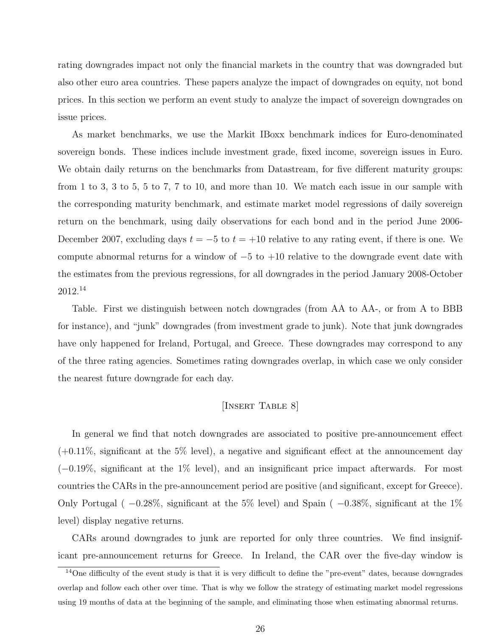rating downgrades impact not only the financial markets in the country that was downgraded but also other euro area countries. These papers analyze the impact of downgrades on equity, not bond prices. In this section we perform an event study to analyze the impact of sovereign downgrades on issue prices.

As market benchmarks, we use the Markit IBoxx benchmark indices for Euro-denominated sovereign bonds. These indices include investment grade, fixed income, sovereign issues in Euro. We obtain daily returns on the benchmarks from Datastream, for five different maturity groups: from 1 to 3, 3 to 5, 5 to 7, 7 to 10, and more than 10. We match each issue in our sample with the corresponding maturity benchmark, and estimate market model regressions of daily sovereign return on the benchmark, using daily observations for each bond and in the period June 2006- December 2007, excluding days  $t = -5$  to  $t = +10$  relative to any rating event, if there is one. We compute abnormal returns for a window of −5 to +10 relative to the downgrade event date with the estimates from the previous regressions, for all downgrades in the period January 2008-October 2012.<sup>14</sup>

Table. First we distinguish between notch downgrades (from AA to AA-, or from A to BBB for instance), and "junk" downgrades (from investment grade to junk). Note that junk downgrades have only happened for Ireland, Portugal, and Greece. These downgrades may correspond to any of the three rating agencies. Sometimes rating downgrades overlap, in which case we only consider the nearest future downgrade for each day.

## [INSERT TABLE 8]

In general we find that notch downgrades are associated to positive pre-announcement effect  $(+0.11\%$ , significant at the 5% level), a negative and significant effect at the announcement day (−0.19%, significant at the 1% level), and an insignificant price impact afterwards. For most countries the CARs in the pre-announcement period are positive (and significant, except for Greece). Only Portugal ( $-0.28\%$ , significant at the 5% level) and Spain ( $-0.38\%$ , significant at the 1% level) display negative returns.

CARs around downgrades to junk are reported for only three countries. We find insignificant pre-announcement returns for Greece. In Ireland, the CAR over the five-day window is

 $14$ One difficulty of the event study is that it is very difficult to define the "pre-event" dates, because downgrades overlap and follow each other over time. That is why we follow the strategy of estimating market model regressions using 19 months of data at the beginning of the sample, and eliminating those when estimating abnormal returns.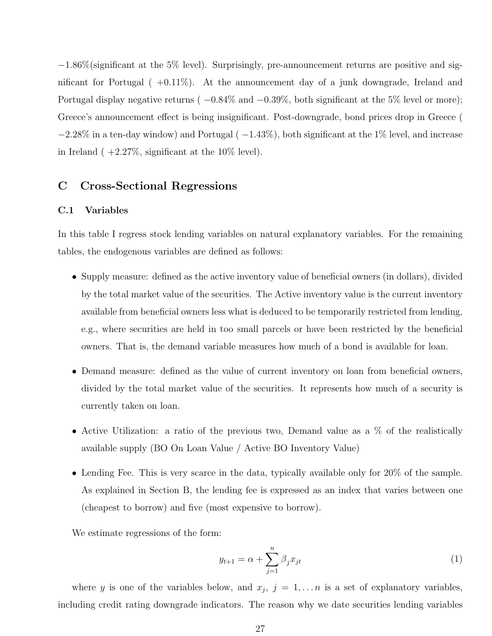−1.86%(significant at the 5% level). Surprisingly, pre-announcement returns are positive and significant for Portugal ( +0.11%). At the announcement day of a junk downgrade, Ireland and Portugal display negative returns (  $-0.84\%$  and  $-0.39\%$ , both significant at the 5% level or more); Greece's announcement effect is being insignificant. Post-downgrade, bond prices drop in Greece (  $-2.28\%$  in a ten-day window) and Portugal ( $-1.43\%$ ), both significant at the 1% level, and increase in Ireland  $(+2.27\%$ , significant at the 10% level).

# C Cross-Sectional Regressions

#### C.1 Variables

In this table I regress stock lending variables on natural explanatory variables. For the remaining tables, the endogenous variables are defined as follows:

- Supply measure: defined as the active inventory value of beneficial owners (in dollars), divided by the total market value of the securities. The Active inventory value is the current inventory available from beneficial owners less what is deduced to be temporarily restricted from lending, e.g., where securities are held in too small parcels or have been restricted by the beneficial owners. That is, the demand variable measures how much of a bond is available for loan.
- Demand measure: defined as the value of current inventory on loan from beneficial owners, divided by the total market value of the securities. It represents how much of a security is currently taken on loan.
- Active Utilization: a ratio of the previous two, Demand value as a % of the realistically available supply (BO On Loan Value / Active BO Inventory Value)
- Lending Fee. This is very scarce in the data, typically available only for 20% of the sample. As explained in Section B, the lending fee is expressed as an index that varies between one (cheapest to borrow) and five (most expensive to borrow).

We estimate regressions of the form:

$$
y_{t+1} = \alpha + \sum_{j=1}^{n} \beta_j x_{jt} \tag{1}
$$

where y is one of the variables below, and  $x_j$ ,  $j = 1, \ldots n$  is a set of explanatory variables, including credit rating downgrade indicators. The reason why we date securities lending variables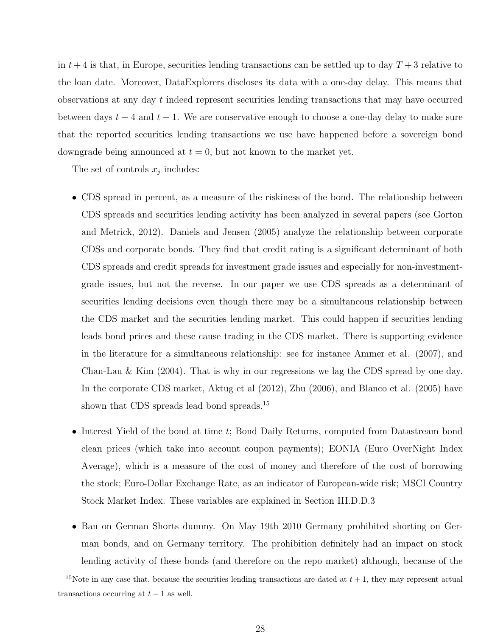in  $t + 4$  is that, in Europe, securities lending transactions can be settled up to day  $T + 3$  relative to the loan date. Moreover, DataExplorers discloses its data with a one-day delay. This means that observations at any day t indeed represent securities lending transactions that may have occurred between days  $t - 4$  and  $t - 1$ . We are conservative enough to choose a one-day delay to make sure that the reported securities lending transactions we use have happened before a sovereign bond downgrade being announced at  $t = 0$ , but not known to the market yet.

The set of controls  $x_j$  includes:

- CDS spread in percent, as a measure of the riskiness of the bond. The relationship between CDS spreads and securities lending activity has been analyzed in several papers (see Gorton and Metrick, 2012). Daniels and Jensen (2005) analyze the relationship between corporate CDSs and corporate bonds. They find that credit rating is a significant determinant of both CDS spreads and credit spreads for investment grade issues and especially for non-investmentgrade issues, but not the reverse. In our paper we use CDS spreads as a determinant of securities lending decisions even though there may be a simultaneous relationship between the CDS market and the securities lending market. This could happen if securities lending leads bond prices and these cause trading in the CDS market. There is supporting evidence in the literature for a simultaneous relationship: see for instance Ammer et al. (2007), and Chan-Lau  $\&$  Kim (2004). That is why in our regressions we lag the CDS spread by one day. In the corporate CDS market, Aktug et al (2012), Zhu (2006), and Blanco et al. (2005) have shown that CDS spreads lead bond spreads.<sup>15</sup>
- Interest Yield of the bond at time t; Bond Daily Returns, computed from Datastream bond clean prices (which take into account coupon payments); EONIA (Euro OverNight Index Average), which is a measure of the cost of money and therefore of the cost of borrowing the stock; Euro-Dollar Exchange Rate, as an indicator of European-wide risk; MSCI Country Stock Market Index. These variables are explained in Section III.D.D.3
- Ban on German Shorts dummy. On May 19th 2010 Germany prohibited shorting on German bonds, and on Germany territory. The prohibition definitely had an impact on stock lending activity of these bonds (and therefore on the repo market) although, because of the

<sup>&</sup>lt;sup>15</sup>Note in any case that, because the securities lending transactions are dated at  $t + 1$ , they may represent actual transactions occurring at  $t-1$  as well.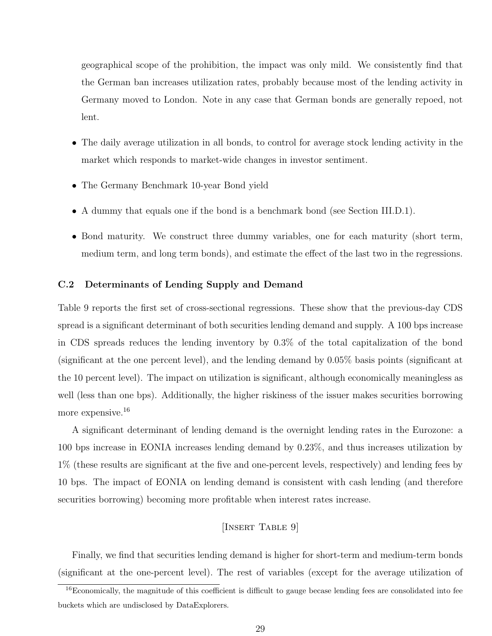geographical scope of the prohibition, the impact was only mild. We consistently find that the German ban increases utilization rates, probably because most of the lending activity in Germany moved to London. Note in any case that German bonds are generally repoed, not lent.

- The daily average utilization in all bonds, to control for average stock lending activity in the market which responds to market-wide changes in investor sentiment.
- The Germany Benchmark 10-year Bond yield
- A dummy that equals one if the bond is a benchmark bond (see Section III.D.1).
- Bond maturity. We construct three dummy variables, one for each maturity (short term, medium term, and long term bonds), and estimate the effect of the last two in the regressions.

#### C.2 Determinants of Lending Supply and Demand

Table 9 reports the first set of cross-sectional regressions. These show that the previous-day CDS spread is a significant determinant of both securities lending demand and supply. A 100 bps increase in CDS spreads reduces the lending inventory by 0.3% of the total capitalization of the bond (significant at the one percent level), and the lending demand by 0.05% basis points (significant at the 10 percent level). The impact on utilization is significant, although economically meaningless as well (less than one bps). Additionally, the higher riskiness of the issuer makes securities borrowing more expensive.<sup>16</sup>

A significant determinant of lending demand is the overnight lending rates in the Eurozone: a 100 bps increase in EONIA increases lending demand by 0.23%, and thus increases utilization by 1% (these results are significant at the five and one-percent levels, respectively) and lending fees by 10 bps. The impact of EONIA on lending demand is consistent with cash lending (and therefore securities borrowing) becoming more profitable when interest rates increase.

# [INSERT TABLE 9]

Finally, we find that securities lending demand is higher for short-term and medium-term bonds (significant at the one-percent level). The rest of variables (except for the average utilization of

<sup>&</sup>lt;sup>16</sup>Economically, the magnitude of this coefficient is difficult to gauge becase lending fees are consolidated into fee buckets which are undisclosed by DataExplorers.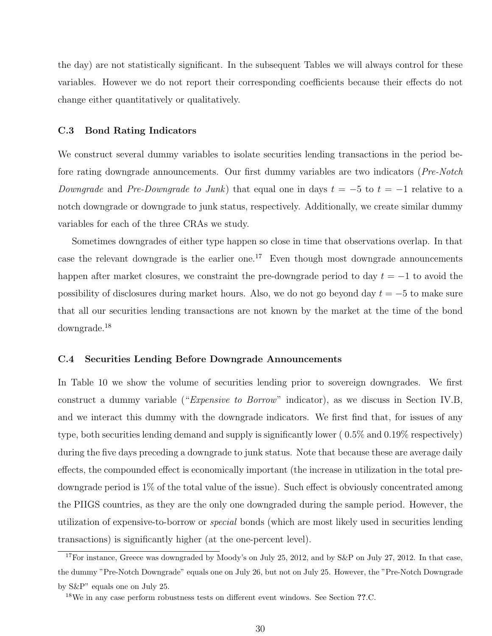the day) are not statistically significant. In the subsequent Tables we will always control for these variables. However we do not report their corresponding coefficients because their effects do not change either quantitatively or qualitatively.

#### C.3 Bond Rating Indicators

We construct several dummy variables to isolate securities lending transactions in the period before rating downgrade announcements. Our first dummy variables are two indicators (Pre-Notch Downgrade and Pre-Downgrade to Junk) that equal one in days  $t = -5$  to  $t = -1$  relative to a notch downgrade or downgrade to junk status, respectively. Additionally, we create similar dummy variables for each of the three CRAs we study.

Sometimes downgrades of either type happen so close in time that observations overlap. In that case the relevant downgrade is the earlier one.<sup>17</sup> Even though most downgrade announcements happen after market closures, we constraint the pre-downgrade period to day  $t = -1$  to avoid the possibility of disclosures during market hours. Also, we do not go beyond day  $t = -5$  to make sure that all our securities lending transactions are not known by the market at the time of the bond downgrade.<sup>18</sup>

#### C.4 Securities Lending Before Downgrade Announcements

In Table 10 we show the volume of securities lending prior to sovereign downgrades. We first construct a dummy variable ("Expensive to Borrow" indicator), as we discuss in Section IV.B, and we interact this dummy with the downgrade indicators. We first find that, for issues of any type, both securities lending demand and supply is significantly lower ( 0.5% and 0.19% respectively) during the five days preceding a downgrade to junk status. Note that because these are average daily effects, the compounded effect is economically important (the increase in utilization in the total predowngrade period is 1% of the total value of the issue). Such effect is obviously concentrated among the PIIGS countries, as they are the only one downgraded during the sample period. However, the utilization of expensive-to-borrow or special bonds (which are most likely used in securities lending transactions) is significantly higher (at the one-percent level).

<sup>&</sup>lt;sup>17</sup>For instance, Greece was downgraded by Moody's on July 25, 2012, and by S&P on July 27, 2012. In that case, the dummy "Pre-Notch Downgrade" equals one on July 26, but not on July 25. However, the "Pre-Notch Downgrade by S&P" equals one on July 25.

<sup>&</sup>lt;sup>18</sup>We in any case perform robustness tests on different event windows. See Section ??.C.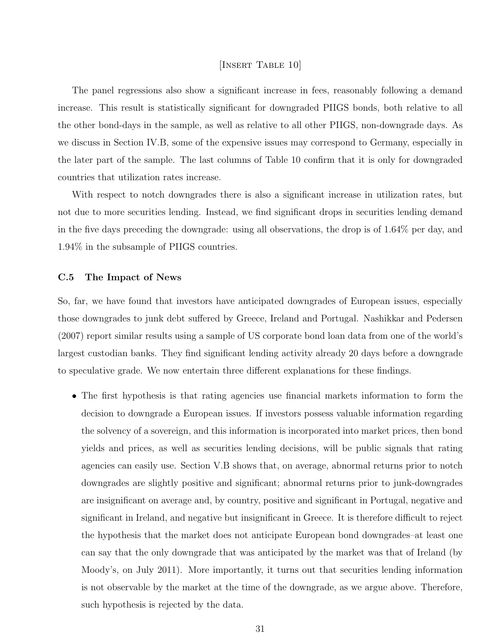#### [Insert Table 10]

The panel regressions also show a significant increase in fees, reasonably following a demand increase. This result is statistically significant for downgraded PIIGS bonds, both relative to all the other bond-days in the sample, as well as relative to all other PIIGS, non-downgrade days. As we discuss in Section IV.B, some of the expensive issues may correspond to Germany, especially in the later part of the sample. The last columns of Table 10 confirm that it is only for downgraded countries that utilization rates increase.

With respect to notch downgrades there is also a significant increase in utilization rates, but not due to more securities lending. Instead, we find significant drops in securities lending demand in the five days preceding the downgrade: using all observations, the drop is of 1.64% per day, and 1.94% in the subsample of PIIGS countries.

#### C.5 The Impact of News

So, far, we have found that investors have anticipated downgrades of European issues, especially those downgrades to junk debt suffered by Greece, Ireland and Portugal. Nashikkar and Pedersen (2007) report similar results using a sample of US corporate bond loan data from one of the world's largest custodian banks. They find significant lending activity already 20 days before a downgrade to speculative grade. We now entertain three different explanations for these findings.

• The first hypothesis is that rating agencies use financial markets information to form the decision to downgrade a European issues. If investors possess valuable information regarding the solvency of a sovereign, and this information is incorporated into market prices, then bond yields and prices, as well as securities lending decisions, will be public signals that rating agencies can easily use. Section V.B shows that, on average, abnormal returns prior to notch downgrades are slightly positive and significant; abnormal returns prior to junk-downgrades are insignificant on average and, by country, positive and significant in Portugal, negative and significant in Ireland, and negative but insignificant in Greece. It is therefore difficult to reject the hypothesis that the market does not anticipate European bond downgrades–at least one can say that the only downgrade that was anticipated by the market was that of Ireland (by Moody's, on July 2011). More importantly, it turns out that securities lending information is not observable by the market at the time of the downgrade, as we argue above. Therefore, such hypothesis is rejected by the data.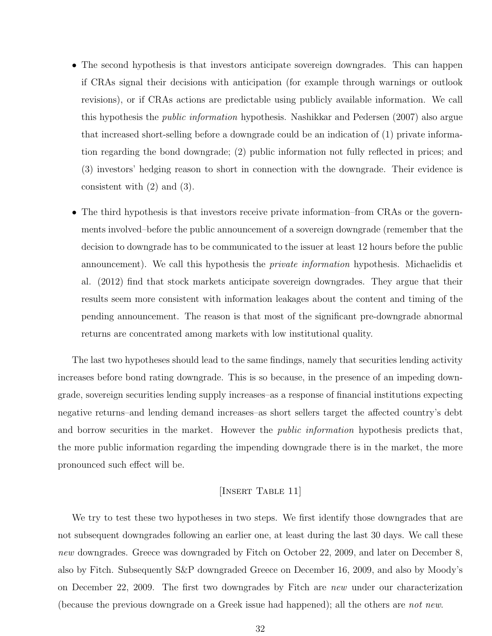- The second hypothesis is that investors anticipate sovereign downgrades. This can happen if CRAs signal their decisions with anticipation (for example through warnings or outlook revisions), or if CRAs actions are predictable using publicly available information. We call this hypothesis the public information hypothesis. Nashikkar and Pedersen (2007) also argue that increased short-selling before a downgrade could be an indication of (1) private information regarding the bond downgrade; (2) public information not fully reflected in prices; and (3) investors' hedging reason to short in connection with the downgrade. Their evidence is consistent with (2) and (3).
- The third hypothesis is that investors receive private information–from CRAs or the governments involved–before the public announcement of a sovereign downgrade (remember that the decision to downgrade has to be communicated to the issuer at least 12 hours before the public announcement). We call this hypothesis the *private information* hypothesis. Michaelidis et al. (2012) find that stock markets anticipate sovereign downgrades. They argue that their results seem more consistent with information leakages about the content and timing of the pending announcement. The reason is that most of the significant pre-downgrade abnormal returns are concentrated among markets with low institutional quality.

The last two hypotheses should lead to the same findings, namely that securities lending activity increases before bond rating downgrade. This is so because, in the presence of an impeding downgrade, sovereign securities lending supply increases–as a response of financial institutions expecting negative returns–and lending demand increases–as short sellers target the affected country's debt and borrow securities in the market. However the *public information* hypothesis predicts that, the more public information regarding the impending downgrade there is in the market, the more pronounced such effect will be.

# [INSERT TABLE 11]

We try to test these two hypotheses in two steps. We first identify those downgrades that are not subsequent downgrades following an earlier one, at least during the last 30 days. We call these new downgrades. Greece was downgraded by Fitch on October 22, 2009, and later on December 8, also by Fitch. Subsequently S&P downgraded Greece on December 16, 2009, and also by Moody's on December 22, 2009. The first two downgrades by Fitch are new under our characterization (because the previous downgrade on a Greek issue had happened); all the others are not new.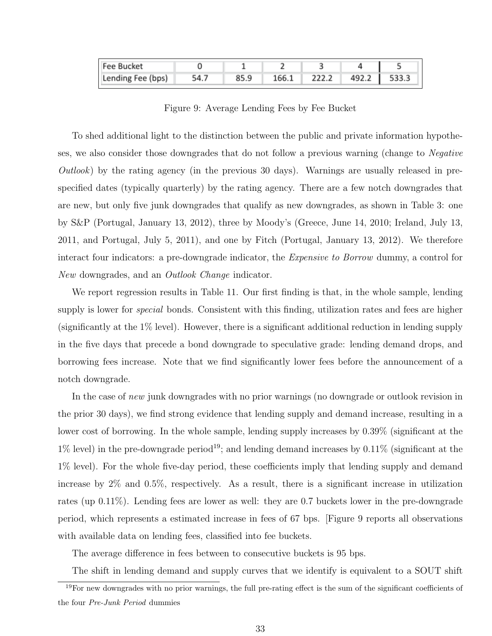| <b>Fee Bucket</b> |       |       |       |       |  |
|-------------------|-------|-------|-------|-------|--|
| Lending Fee (bps) | 54. . | 166.1 | 222.2 | 492.2 |  |

Figure 9: Average Lending Fees by Fee Bucket

To shed additional light to the distinction between the public and private information hypotheses, we also consider those downgrades that do not follow a previous warning (change to Negative  $Outlook)$  by the rating agency (in the previous 30 days). Warnings are usually released in prespecified dates (typically quarterly) by the rating agency. There are a few notch downgrades that are new, but only five junk downgrades that qualify as new downgrades, as shown in Table 3: one by S&P (Portugal, January 13, 2012), three by Moody's (Greece, June 14, 2010; Ireland, July 13, 2011, and Portugal, July 5, 2011), and one by Fitch (Portugal, January 13, 2012). We therefore interact four indicators: a pre-downgrade indicator, the *Expensive to Borrow* dummy, a control for New downgrades, and an *Outlook Change* indicator.

We report regression results in Table 11. Our first finding is that, in the whole sample, lending supply is lower for *special* bonds. Consistent with this finding, utilization rates and fees are higher (significantly at the 1% level). However, there is a significant additional reduction in lending supply in the five days that precede a bond downgrade to speculative grade: lending demand drops, and borrowing fees increase. Note that we find significantly lower fees before the announcement of a notch downgrade.

In the case of new junk downgrades with no prior warnings (no downgrade or outlook revision in the prior 30 days), we find strong evidence that lending supply and demand increase, resulting in a lower cost of borrowing. In the whole sample, lending supply increases by 0.39% (significant at the  $1\%$  level) in the pre-downgrade period<sup>19</sup>; and lending demand increases by 0.11% (significant at the 1% level). For the whole five-day period, these coefficients imply that lending supply and demand increase by 2% and 0.5%, respectively. As a result, there is a significant increase in utilization rates (up 0.11%). Lending fees are lower as well: they are 0.7 buckets lower in the pre-downgrade period, which represents a estimated increase in fees of 67 bps. [Figure 9 reports all observations with available data on lending fees, classified into fee buckets.

The average difference in fees between to consecutive buckets is 95 bps.

The shift in lending demand and supply curves that we identify is equivalent to a SOUT shift

 $19$ For new downgrades with no prior warnings, the full pre-rating effect is the sum of the significant coefficients of the four Pre-Junk Period dummies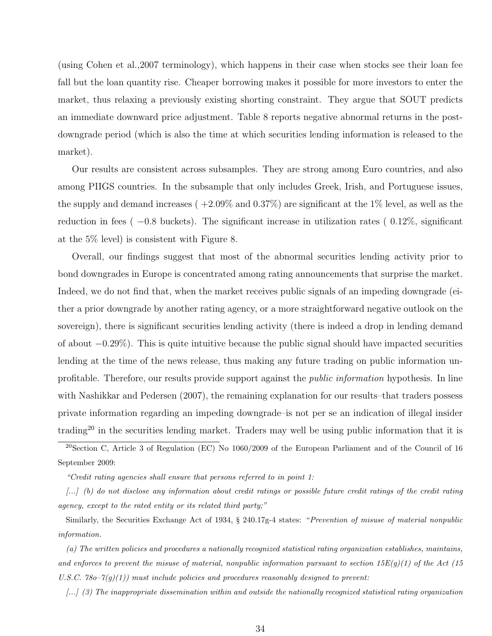(using Cohen et al.,2007 terminology), which happens in their case when stocks see their loan fee fall but the loan quantity rise. Cheaper borrowing makes it possible for more investors to enter the market, thus relaxing a previously existing shorting constraint. They argue that SOUT predicts an immediate downward price adjustment. Table 8 reports negative abnormal returns in the postdowngrade period (which is also the time at which securities lending information is released to the market).

Our results are consistent across subsamples. They are strong among Euro countries, and also among PIIGS countries. In the subsample that only includes Greek, Irish, and Portuguese issues, the supply and demand increases ( $+2.09\%$  and  $0.37\%$ ) are significant at the 1% level, as well as the reduction in fees ( $-0.8$  buckets). The significant increase in utilization rates ( $0.12\%$ , significant at the 5% level) is consistent with Figure 8.

Overall, our findings suggest that most of the abnormal securities lending activity prior to bond downgrades in Europe is concentrated among rating announcements that surprise the market. Indeed, we do not find that, when the market receives public signals of an impeding downgrade (either a prior downgrade by another rating agency, or a more straightforward negative outlook on the sovereign), there is significant securities lending activity (there is indeed a drop in lending demand of about −0.29%). This is quite intuitive because the public signal should have impacted securities lending at the time of the news release, thus making any future trading on public information unprofitable. Therefore, our results provide support against the public information hypothesis. In line with Nashikkar and Pedersen (2007), the remaining explanation for our results–that traders possess private information regarding an impeding downgrade–is not per se an indication of illegal insider trading<sup>20</sup> in the securities lending market. Traders may well be using public information that it is

 $^{20}$ Section C, Article 3 of Regulation (EC) No 1060/2009 of the European Parliament and of the Council of 16 September 2009:

"Credit rating agencies shall ensure that persons referred to in point 1:

[...] (b) do not disclose any information about credit ratings or possible future credit ratings of the credit rating agency, except to the rated entity or its related third party;"

Similarly, the Securities Exchange Act of 1934, § 240.17g-4 states: "Prevention of misuse of material nonpublic information.

(a) The written policies and procedures a nationally recognized statistical rating organization establishes, maintains, and enforces to prevent the misuse of material, nonpublic information pursuant to section  $15E(q)(1)$  of the Act (15 U.S.C. 78o–7(g)(1)) must include policies and procedures reasonably designed to prevent:

[...] (3) The inappropriate dissemination within and outside the nationally recognized statistical rating organization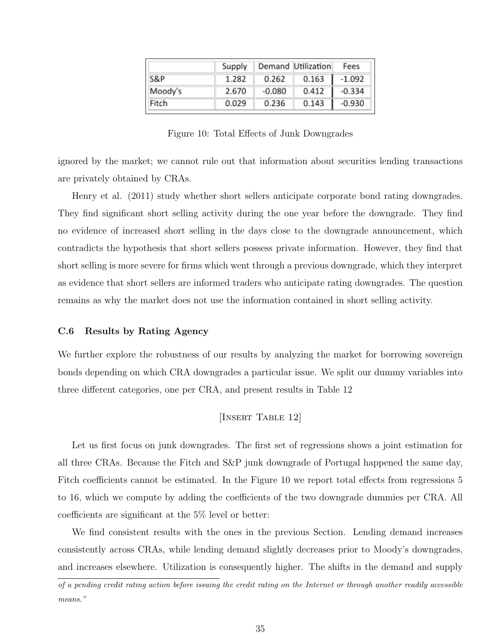|         | Supply |          | Demand Utilization | Fees     |
|---------|--------|----------|--------------------|----------|
| S&P     | 1.282  | 0.262    | 0.163              | -1.092   |
| Moody's | 2.670  | $-0.080$ | 0.412              | $-0.334$ |
| Fitch   | 0.029  | 0.236    | 0.143              | -0.930   |

Figure 10: Total Effects of Junk Downgrades

ignored by the market; we cannot rule out that information about securities lending transactions are privately obtained by CRAs.

Henry et al. (2011) study whether short sellers anticipate corporate bond rating downgrades. They find significant short selling activity during the one year before the downgrade. They find no evidence of increased short selling in the days close to the downgrade announcement, which contradicts the hypothesis that short sellers possess private information. However, they find that short selling is more severe for firms which went through a previous downgrade, which they interpret as evidence that short sellers are informed traders who anticipate rating downgrades. The question remains as why the market does not use the information contained in short selling activity.

#### C.6 Results by Rating Agency

We further explore the robustness of our results by analyzing the market for borrowing sovereign bonds depending on which CRA downgrades a particular issue. We split our dummy variables into three different categories, one per CRA, and present results in Table 12

[Insert Table 12]

Let us first focus on junk downgrades. The first set of regressions shows a joint estimation for all three CRAs. Because the Fitch and S&P junk downgrade of Portugal happened the same day, Fitch coefficients cannot be estimated. In the Figure 10 we report total effects from regressions 5 to 16, which we compute by adding the coefficients of the two downgrade dummies per CRA. All coefficients are significant at the 5% level or better:

We find consistent results with the ones in the previous Section. Lending demand increases consistently across CRAs, while lending demand slightly decreases prior to Moody's downgrades, and increases elsewhere. Utilization is consequently higher. The shifts in the demand and supply

of a pending credit rating action before issuing the credit rating on the Internet or through another readily accessible means."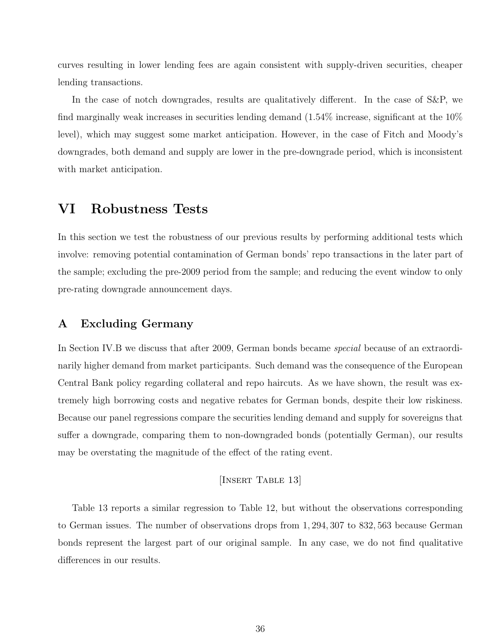curves resulting in lower lending fees are again consistent with supply-driven securities, cheaper lending transactions.

In the case of notch downgrades, results are qualitatively different. In the case of S&P, we find marginally weak increases in securities lending demand (1.54% increase, significant at the 10% level), which may suggest some market anticipation. However, in the case of Fitch and Moody's downgrades, both demand and supply are lower in the pre-downgrade period, which is inconsistent with market anticipation.

# VI Robustness Tests

In this section we test the robustness of our previous results by performing additional tests which involve: removing potential contamination of German bonds' repo transactions in the later part of the sample; excluding the pre-2009 period from the sample; and reducing the event window to only pre-rating downgrade announcement days.

# A Excluding Germany

In Section IV.B we discuss that after 2009, German bonds became special because of an extraordinarily higher demand from market participants. Such demand was the consequence of the European Central Bank policy regarding collateral and repo haircuts. As we have shown, the result was extremely high borrowing costs and negative rebates for German bonds, despite their low riskiness. Because our panel regressions compare the securities lending demand and supply for sovereigns that suffer a downgrade, comparing them to non-downgraded bonds (potentially German), our results may be overstating the magnitude of the effect of the rating event.

#### [Insert Table 13]

Table 13 reports a similar regression to Table 12, but without the observations corresponding to German issues. The number of observations drops from 1, 294, 307 to 832, 563 because German bonds represent the largest part of our original sample. In any case, we do not find qualitative differences in our results.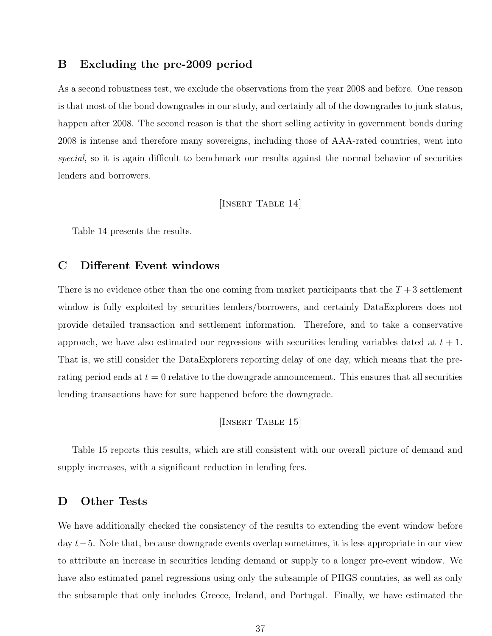#### B Excluding the pre-2009 period

As a second robustness test, we exclude the observations from the year 2008 and before. One reason is that most of the bond downgrades in our study, and certainly all of the downgrades to junk status, happen after 2008. The second reason is that the short selling activity in government bonds during 2008 is intense and therefore many sovereigns, including those of AAA-rated countries, went into special, so it is again difficult to benchmark our results against the normal behavior of securities lenders and borrowers.

### [Insert Table 14]

Table 14 presents the results.

## C Different Event windows

There is no evidence other than the one coming from market participants that the  $T+3$  settlement window is fully exploited by securities lenders/borrowers, and certainly DataExplorers does not provide detailed transaction and settlement information. Therefore, and to take a conservative approach, we have also estimated our regressions with securities lending variables dated at  $t + 1$ . That is, we still consider the DataExplorers reporting delay of one day, which means that the prerating period ends at  $t = 0$  relative to the downgrade announcement. This ensures that all securities lending transactions have for sure happened before the downgrade.

[Insert Table 15]

Table 15 reports this results, which are still consistent with our overall picture of demand and supply increases, with a significant reduction in lending fees.

# D Other Tests

We have additionally checked the consistency of the results to extending the event window before day t−5. Note that, because downgrade events overlap sometimes, it is less appropriate in our view to attribute an increase in securities lending demand or supply to a longer pre-event window. We have also estimated panel regressions using only the subsample of PIIGS countries, as well as only the subsample that only includes Greece, Ireland, and Portugal. Finally, we have estimated the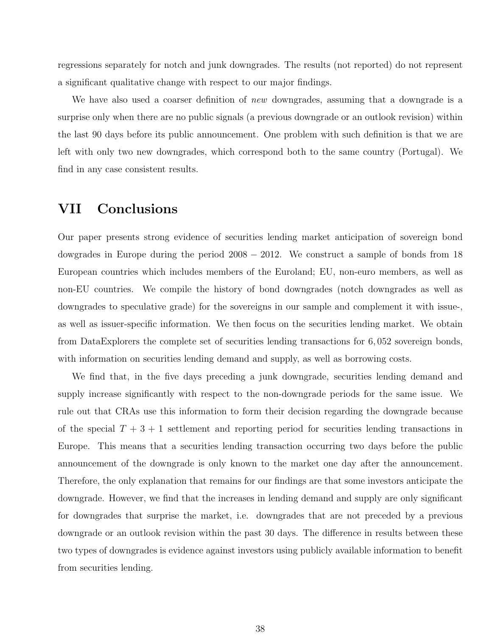regressions separately for notch and junk downgrades. The results (not reported) do not represent a significant qualitative change with respect to our major findings.

We have also used a coarser definition of new downgrades, assuming that a downgrade is a surprise only when there are no public signals (a previous downgrade or an outlook revision) within the last 90 days before its public announcement. One problem with such definition is that we are left with only two new downgrades, which correspond both to the same country (Portugal). We find in any case consistent results.

# VII Conclusions

Our paper presents strong evidence of securities lending market anticipation of sovereign bond dowgrades in Europe during the period 2008 − 2012. We construct a sample of bonds from 18 European countries which includes members of the Euroland; EU, non-euro members, as well as non-EU countries. We compile the history of bond downgrades (notch downgrades as well as downgrades to speculative grade) for the sovereigns in our sample and complement it with issue-, as well as issuer-specific information. We then focus on the securities lending market. We obtain from DataExplorers the complete set of securities lending transactions for 6, 052 sovereign bonds, with information on securities lending demand and supply, as well as borrowing costs.

We find that, in the five days preceding a junk downgrade, securities lending demand and supply increase significantly with respect to the non-downgrade periods for the same issue. We rule out that CRAs use this information to form their decision regarding the downgrade because of the special  $T + 3 + 1$  settlement and reporting period for securities lending transactions in Europe. This means that a securities lending transaction occurring two days before the public announcement of the downgrade is only known to the market one day after the announcement. Therefore, the only explanation that remains for our findings are that some investors anticipate the downgrade. However, we find that the increases in lending demand and supply are only significant for downgrades that surprise the market, i.e. downgrades that are not preceded by a previous downgrade or an outlook revision within the past 30 days. The difference in results between these two types of downgrades is evidence against investors using publicly available information to benefit from securities lending.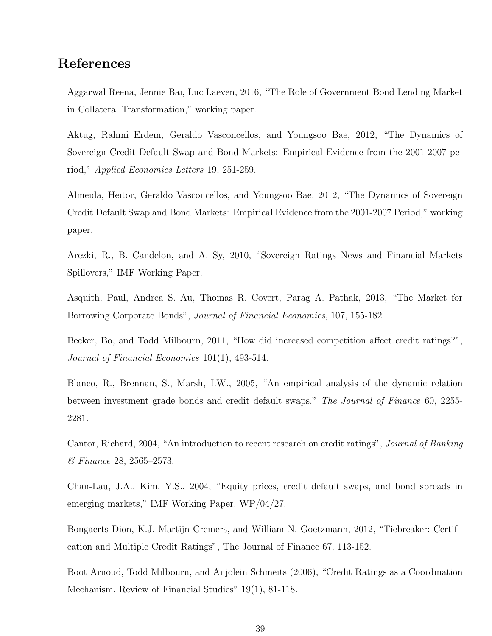# References

Aggarwal Reena, Jennie Bai, Luc Laeven, 2016, "The Role of Government Bond Lending Market in Collateral Transformation," working paper.

Aktug, Rahmi Erdem, Geraldo Vasconcellos, and Youngsoo Bae, 2012, "The Dynamics of Sovereign Credit Default Swap and Bond Markets: Empirical Evidence from the 2001-2007 period," Applied Economics Letters 19, 251-259.

Almeida, Heitor, Geraldo Vasconcellos, and Youngsoo Bae, 2012, "The Dynamics of Sovereign Credit Default Swap and Bond Markets: Empirical Evidence from the 2001-2007 Period," working paper.

Arezki, R., B. Candelon, and A. Sy, 2010, "Sovereign Ratings News and Financial Markets Spillovers," IMF Working Paper.

Asquith, Paul, Andrea S. Au, Thomas R. Covert, Parag A. Pathak, 2013, "The Market for Borrowing Corporate Bonds", Journal of Financial Economics, 107, 155-182.

Becker, Bo, and Todd Milbourn, 2011, "How did increased competition affect credit ratings?", Journal of Financial Economics 101(1), 493-514.

Blanco, R., Brennan, S., Marsh, I.W., 2005, "An empirical analysis of the dynamic relation between investment grade bonds and credit default swaps." The Journal of Finance 60, 2255- 2281.

Cantor, Richard, 2004, "An introduction to recent research on credit ratings", Journal of Banking & Finance 28, 2565–2573.

Chan-Lau, J.A., Kim, Y.S., 2004, "Equity prices, credit default swaps, and bond spreads in emerging markets," IMF Working Paper. WP/04/27.

Bongaerts Dion, K.J. Martijn Cremers, and William N. Goetzmann, 2012, "Tiebreaker: Certification and Multiple Credit Ratings", The Journal of Finance 67, 113-152.

Boot Arnoud, Todd Milbourn, and Anjolein Schmeits (2006), "Credit Ratings as a Coordination Mechanism, Review of Financial Studies" 19(1), 81-118.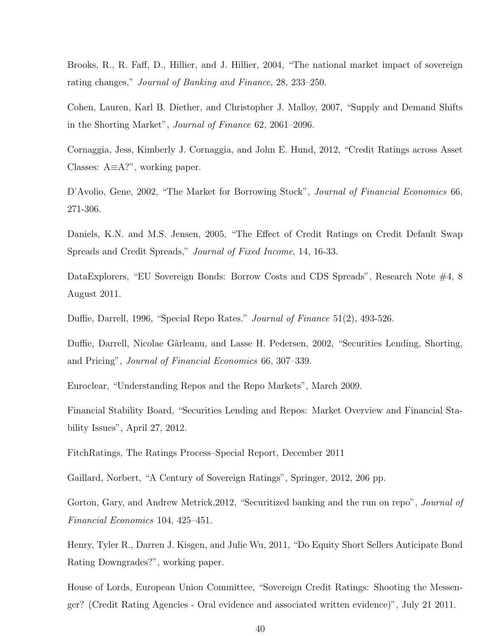Brooks, R., R. Faff, D., Hillier, and J. Hillier, 2004, "The national market impact of sovereign rating changes," Journal of Banking and Finance, 28, 233–250.

Cohen, Lauren, Karl B. Diether, and Christopher J. Malloy, 2007, "Supply and Demand Shifts in the Shorting Market", Journal of Finance 62, 2061–2096.

Cornaggia, Jess, Kimberly J. Cornaggia, and John E. Hund, 2012, "Credit Ratings across Asset Classes: A≡A?", working paper.

D'Avolio, Gene, 2002, "The Market for Borrowing Stock", Journal of Financial Economics 66, 271-306.

Daniels, K.N. and M.S. Jensen, 2005, "The Effect of Credit Ratings on Credit Default Swap Spreads and Credit Spreads," Journal of Fixed Income, 14, 16-33.

DataExplorers, "EU Sovereign Bonds: Borrow Costs and CDS Spreads", Research Note #4, 8 August 2011.

Duffie, Darrell, 1996, "Special Repo Rates." Journal of Finance 51(2), 493-526.

Duffie, Darrell, Nicolae Gârleanu, and Lasse H. Pedersen, 2002, "Securities Lending, Shorting, and Pricing", Journal of Financial Economics 66, 307–339.

Euroclear, "Understanding Repos and the Repo Markets", March 2009.

Financial Stability Board, "Securities Lending and Repos: Market Overview and Financial Stability Issues", April 27, 2012.

FitchRatings, The Ratings Process–Special Report, December 2011

Gaillard, Norbert, "A Century of Sovereign Ratings", Springer, 2012, 206 pp.

Gorton, Gary, and Andrew Metrick, 2012, "Securitized banking and the run on repo", *Journal of* Financial Economics 104, 425–451.

Henry, Tyler R., Darren J. Kisgen, and Julie Wu, 2011, "Do Equity Short Sellers Anticipate Bond Rating Downgrades?", working paper.

House of Lords, European Union Committee, "Sovereign Credit Ratings: Shooting the Messenger? (Credit Rating Agencies - Oral evidence and associated written evidence)", July 21 2011.